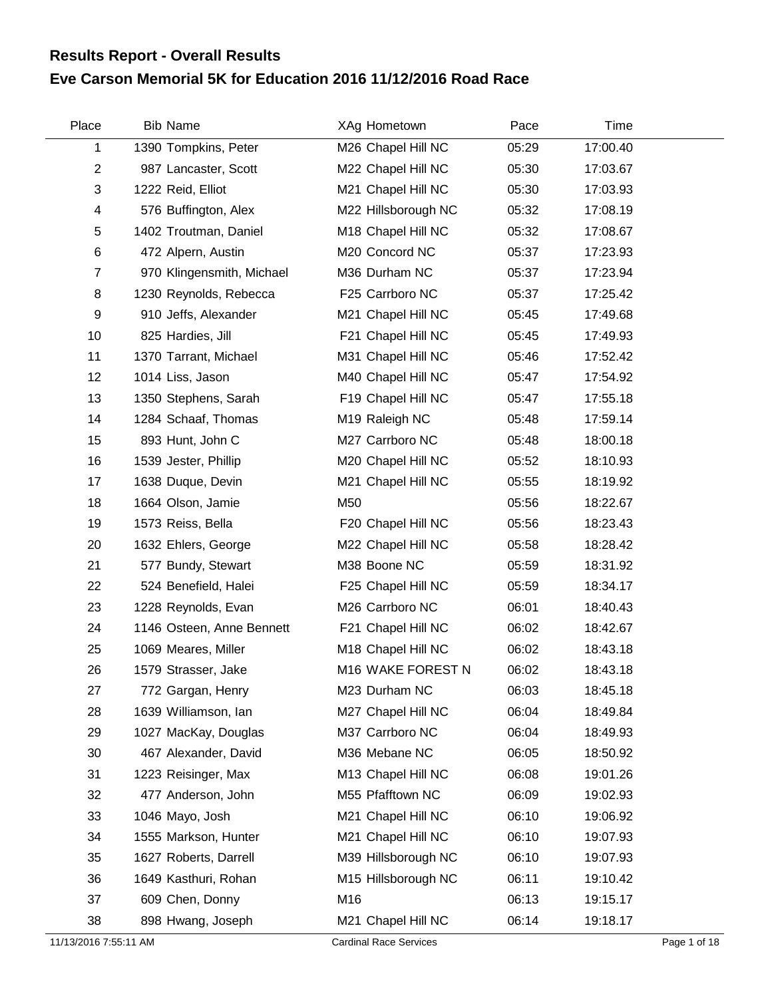## **Eve Carson Memorial 5K for Education 2016 11/12/2016 Road Race Results Report - Overall Results**

| Place          | <b>Bib Name</b>           | XAg Hometown        | Pace  | Time     |  |
|----------------|---------------------------|---------------------|-------|----------|--|
| 1              | 1390 Tompkins, Peter      | M26 Chapel Hill NC  | 05:29 | 17:00.40 |  |
| $\overline{2}$ | 987 Lancaster, Scott      | M22 Chapel Hill NC  | 05:30 | 17:03.67 |  |
| 3              | 1222 Reid, Elliot         | M21 Chapel Hill NC  | 05:30 | 17:03.93 |  |
| 4              | 576 Buffington, Alex      | M22 Hillsborough NC | 05:32 | 17:08.19 |  |
| 5              | 1402 Troutman, Daniel     | M18 Chapel Hill NC  | 05:32 | 17:08.67 |  |
| 6              | 472 Alpern, Austin        | M20 Concord NC      | 05:37 | 17:23.93 |  |
| $\overline{7}$ | 970 Klingensmith, Michael | M36 Durham NC       | 05:37 | 17:23.94 |  |
| 8              | 1230 Reynolds, Rebecca    | F25 Carrboro NC     | 05:37 | 17:25.42 |  |
| 9              | 910 Jeffs, Alexander      | M21 Chapel Hill NC  | 05:45 | 17:49.68 |  |
| 10             | 825 Hardies, Jill         | F21 Chapel Hill NC  | 05:45 | 17:49.93 |  |
| 11             | 1370 Tarrant, Michael     | M31 Chapel Hill NC  | 05:46 | 17:52.42 |  |
| 12             | 1014 Liss, Jason          | M40 Chapel Hill NC  | 05:47 | 17:54.92 |  |
| 13             | 1350 Stephens, Sarah      | F19 Chapel Hill NC  | 05:47 | 17:55.18 |  |
| 14             | 1284 Schaaf, Thomas       | M19 Raleigh NC      | 05:48 | 17:59.14 |  |
| 15             | 893 Hunt, John C          | M27 Carrboro NC     | 05:48 | 18:00.18 |  |
| 16             | 1539 Jester, Phillip      | M20 Chapel Hill NC  | 05:52 | 18:10.93 |  |
| 17             | 1638 Duque, Devin         | M21 Chapel Hill NC  | 05:55 | 18:19.92 |  |
| 18             | 1664 Olson, Jamie         | M50                 | 05:56 | 18:22.67 |  |
| 19             | 1573 Reiss, Bella         | F20 Chapel Hill NC  | 05:56 | 18:23.43 |  |
| 20             | 1632 Ehlers, George       | M22 Chapel Hill NC  | 05:58 | 18:28.42 |  |
| 21             | 577 Bundy, Stewart        | M38 Boone NC        | 05:59 | 18:31.92 |  |
| 22             | 524 Benefield, Halei      | F25 Chapel Hill NC  | 05:59 | 18:34.17 |  |
| 23             | 1228 Reynolds, Evan       | M26 Carrboro NC     | 06:01 | 18:40.43 |  |
| 24             | 1146 Osteen, Anne Bennett | F21 Chapel Hill NC  | 06:02 | 18:42.67 |  |
| 25             | 1069 Meares, Miller       | M18 Chapel Hill NC  | 06:02 | 18:43.18 |  |
| 26             | 1579 Strasser, Jake       | M16 WAKE FOREST N   | 06:02 | 18:43.18 |  |
| 27             | 772 Gargan, Henry         | M23 Durham NC       | 06:03 | 18:45.18 |  |
| 28             | 1639 Williamson, Ian      | M27 Chapel Hill NC  | 06:04 | 18:49.84 |  |
| 29             | 1027 MacKay, Douglas      | M37 Carrboro NC     | 06:04 | 18:49.93 |  |
| 30             | 467 Alexander, David      | M36 Mebane NC       | 06:05 | 18:50.92 |  |
| 31             | 1223 Reisinger, Max       | M13 Chapel Hill NC  | 06:08 | 19:01.26 |  |
| 32             | 477 Anderson, John        | M55 Pfafftown NC    | 06:09 | 19:02.93 |  |
| 33             | 1046 Mayo, Josh           | M21 Chapel Hill NC  | 06:10 | 19:06.92 |  |
| 34             | 1555 Markson, Hunter      | M21 Chapel Hill NC  | 06:10 | 19:07.93 |  |
| 35             | 1627 Roberts, Darrell     | M39 Hillsborough NC | 06:10 | 19:07.93 |  |
| 36             | 1649 Kasthuri, Rohan      | M15 Hillsborough NC | 06:11 | 19:10.42 |  |
| 37             | 609 Chen, Donny           | M16                 | 06:13 | 19:15.17 |  |
| 38             | 898 Hwang, Joseph         | M21 Chapel Hill NC  | 06:14 | 19:18.17 |  |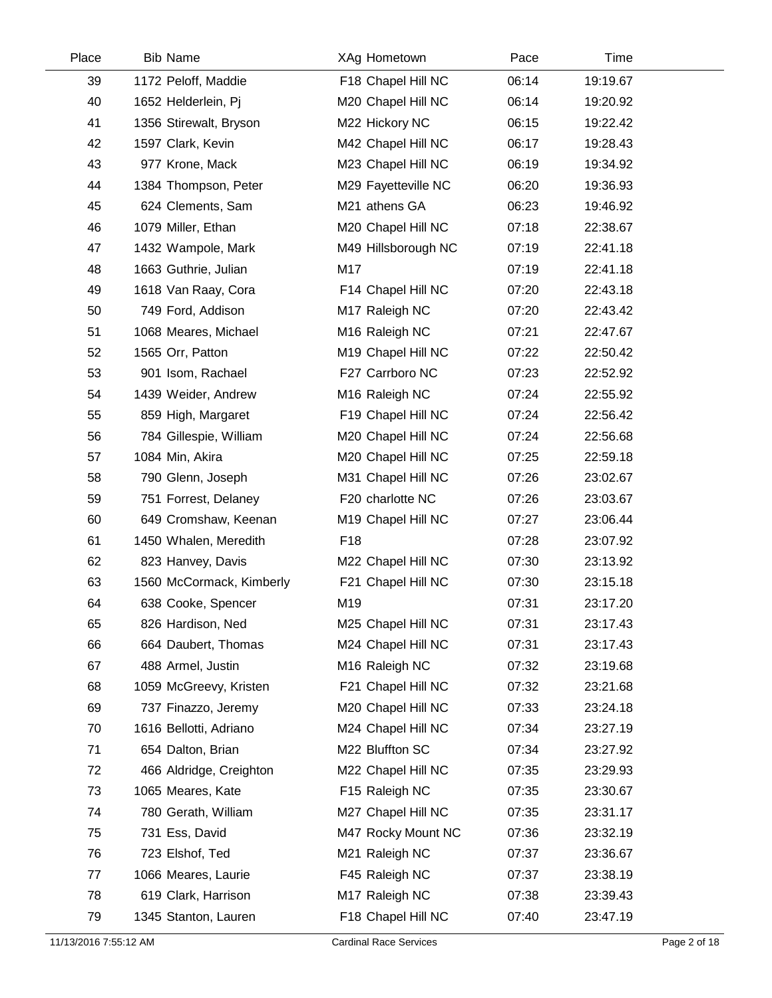| Place | <b>Bib Name</b>          | XAg Hometown        | Pace  | Time     |  |
|-------|--------------------------|---------------------|-------|----------|--|
| 39    | 1172 Peloff, Maddie      | F18 Chapel Hill NC  | 06:14 | 19:19.67 |  |
| 40    | 1652 Helderlein, Pj      | M20 Chapel Hill NC  | 06:14 | 19:20.92 |  |
| 41    | 1356 Stirewalt, Bryson   | M22 Hickory NC      | 06:15 | 19:22.42 |  |
| 42    | 1597 Clark, Kevin        | M42 Chapel Hill NC  | 06:17 | 19:28.43 |  |
| 43    | 977 Krone, Mack          | M23 Chapel Hill NC  | 06:19 | 19:34.92 |  |
| 44    | 1384 Thompson, Peter     | M29 Fayetteville NC | 06:20 | 19:36.93 |  |
| 45    | 624 Clements, Sam        | M21 athens GA       | 06:23 | 19:46.92 |  |
| 46    | 1079 Miller, Ethan       | M20 Chapel Hill NC  | 07:18 | 22:38.67 |  |
| 47    | 1432 Wampole, Mark       | M49 Hillsborough NC | 07:19 | 22:41.18 |  |
| 48    | 1663 Guthrie, Julian     | M17                 | 07:19 | 22:41.18 |  |
| 49    | 1618 Van Raay, Cora      | F14 Chapel Hill NC  | 07:20 | 22:43.18 |  |
| 50    | 749 Ford, Addison        | M17 Raleigh NC      | 07:20 | 22:43.42 |  |
| 51    | 1068 Meares, Michael     | M16 Raleigh NC      | 07:21 | 22:47.67 |  |
| 52    | 1565 Orr, Patton         | M19 Chapel Hill NC  | 07:22 | 22:50.42 |  |
| 53    | 901 Isom, Rachael        | F27 Carrboro NC     | 07:23 | 22:52.92 |  |
| 54    | 1439 Weider, Andrew      | M16 Raleigh NC      | 07:24 | 22:55.92 |  |
| 55    | 859 High, Margaret       | F19 Chapel Hill NC  | 07:24 | 22:56.42 |  |
| 56    | 784 Gillespie, William   | M20 Chapel Hill NC  | 07:24 | 22:56.68 |  |
| 57    | 1084 Min, Akira          | M20 Chapel Hill NC  | 07:25 | 22:59.18 |  |
| 58    | 790 Glenn, Joseph        | M31 Chapel Hill NC  | 07:26 | 23:02.67 |  |
| 59    | 751 Forrest, Delaney     | F20 charlotte NC    | 07:26 | 23:03.67 |  |
| 60    | 649 Cromshaw, Keenan     | M19 Chapel Hill NC  | 07:27 | 23:06.44 |  |
| 61    | 1450 Whalen, Meredith    | F <sub>18</sub>     | 07:28 | 23:07.92 |  |
| 62    | 823 Hanvey, Davis        | M22 Chapel Hill NC  | 07:30 | 23:13.92 |  |
| 63    | 1560 McCormack, Kimberly | F21 Chapel Hill NC  | 07:30 | 23:15.18 |  |
| 64    | 638 Cooke, Spencer       | M19                 | 07:31 | 23:17.20 |  |
| 65    | 826 Hardison, Ned        | M25 Chapel Hill NC  | 07:31 | 23:17.43 |  |
| 66    | 664 Daubert, Thomas      | M24 Chapel Hill NC  | 07:31 | 23:17.43 |  |
| 67    | 488 Armel, Justin        | M16 Raleigh NC      | 07:32 | 23:19.68 |  |
| 68    | 1059 McGreevy, Kristen   | F21 Chapel Hill NC  | 07:32 | 23:21.68 |  |
| 69    | 737 Finazzo, Jeremy      | M20 Chapel Hill NC  | 07:33 | 23:24.18 |  |
| 70    | 1616 Bellotti, Adriano   | M24 Chapel Hill NC  | 07:34 | 23:27.19 |  |
| 71    | 654 Dalton, Brian        | M22 Bluffton SC     | 07:34 | 23:27.92 |  |
| 72    | 466 Aldridge, Creighton  | M22 Chapel Hill NC  | 07:35 | 23:29.93 |  |
| 73    | 1065 Meares, Kate        | F15 Raleigh NC      | 07:35 | 23:30.67 |  |
| 74    | 780 Gerath, William      | M27 Chapel Hill NC  | 07:35 | 23:31.17 |  |
| 75    | 731 Ess, David           | M47 Rocky Mount NC  | 07:36 | 23:32.19 |  |
| 76    | 723 Elshof, Ted          | M21 Raleigh NC      | 07:37 | 23:36.67 |  |
| 77    | 1066 Meares, Laurie      | F45 Raleigh NC      | 07:37 | 23:38.19 |  |
| 78    | 619 Clark, Harrison      | M17 Raleigh NC      | 07:38 | 23:39.43 |  |
| 79    | 1345 Stanton, Lauren     | F18 Chapel Hill NC  | 07:40 | 23:47.19 |  |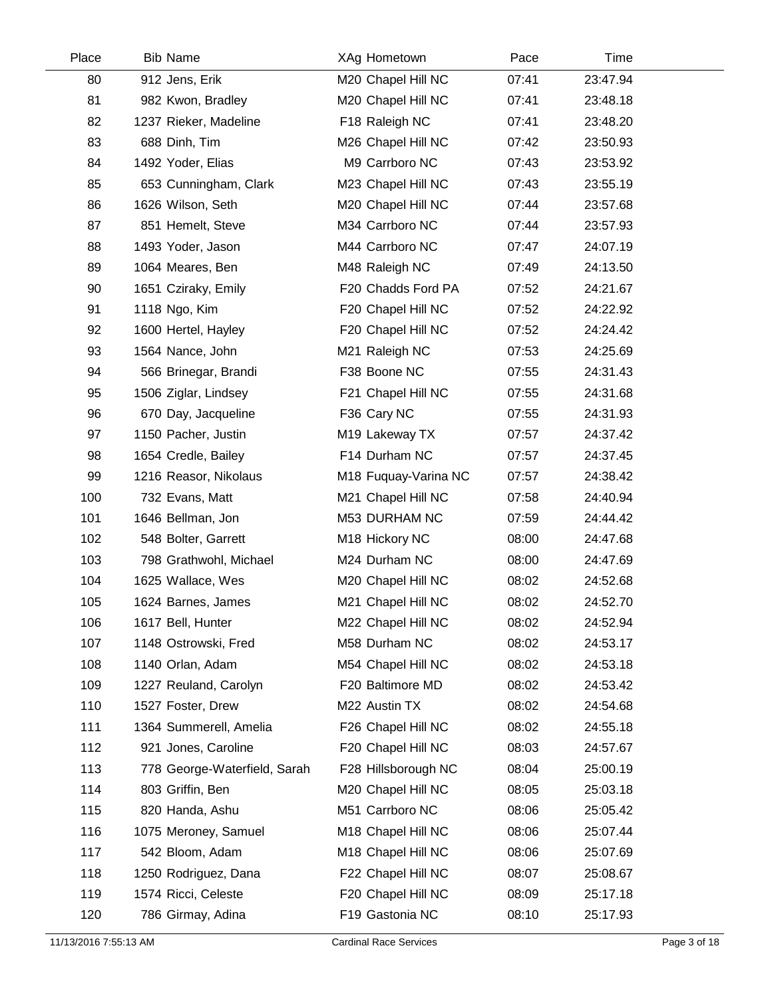| Place | <b>Bib Name</b>              | XAg Hometown         | Pace  | Time     |  |
|-------|------------------------------|----------------------|-------|----------|--|
| 80    | 912 Jens, Erik               | M20 Chapel Hill NC   | 07:41 | 23:47.94 |  |
| 81    | 982 Kwon, Bradley            | M20 Chapel Hill NC   | 07:41 | 23:48.18 |  |
| 82    | 1237 Rieker, Madeline        | F18 Raleigh NC       | 07:41 | 23:48.20 |  |
| 83    | 688 Dinh, Tim                | M26 Chapel Hill NC   | 07:42 | 23:50.93 |  |
| 84    | 1492 Yoder, Elias            | M9 Carrboro NC       | 07:43 | 23:53.92 |  |
| 85    | 653 Cunningham, Clark        | M23 Chapel Hill NC   | 07:43 | 23:55.19 |  |
| 86    | 1626 Wilson, Seth            | M20 Chapel Hill NC   | 07:44 | 23:57.68 |  |
| 87    | 851 Hemelt, Steve            | M34 Carrboro NC      | 07:44 | 23:57.93 |  |
| 88    | 1493 Yoder, Jason            | M44 Carrboro NC      | 07:47 | 24:07.19 |  |
| 89    | 1064 Meares, Ben             | M48 Raleigh NC       | 07:49 | 24:13.50 |  |
| 90    | 1651 Cziraky, Emily          | F20 Chadds Ford PA   | 07:52 | 24:21.67 |  |
| 91    | 1118 Ngo, Kim                | F20 Chapel Hill NC   | 07:52 | 24:22.92 |  |
| 92    | 1600 Hertel, Hayley          | F20 Chapel Hill NC   | 07:52 | 24:24.42 |  |
| 93    | 1564 Nance, John             | M21 Raleigh NC       | 07:53 | 24:25.69 |  |
| 94    | 566 Brinegar, Brandi         | F38 Boone NC         | 07:55 | 24:31.43 |  |
| 95    | 1506 Ziglar, Lindsey         | F21 Chapel Hill NC   | 07:55 | 24:31.68 |  |
| 96    | 670 Day, Jacqueline          | F36 Cary NC          | 07:55 | 24:31.93 |  |
| 97    | 1150 Pacher, Justin          | M19 Lakeway TX       | 07:57 | 24:37.42 |  |
| 98    | 1654 Credle, Bailey          | F14 Durham NC        | 07:57 | 24:37.45 |  |
| 99    | 1216 Reasor, Nikolaus        | M18 Fuquay-Varina NC | 07:57 | 24:38.42 |  |
| 100   | 732 Evans, Matt              | M21 Chapel Hill NC   | 07:58 | 24:40.94 |  |
| 101   | 1646 Bellman, Jon            | M53 DURHAM NC        | 07:59 | 24:44.42 |  |
| 102   | 548 Bolter, Garrett          | M18 Hickory NC       | 08:00 | 24:47.68 |  |
| 103   | 798 Grathwohl, Michael       | M24 Durham NC        | 08:00 | 24:47.69 |  |
| 104   | 1625 Wallace, Wes            | M20 Chapel Hill NC   | 08:02 | 24:52.68 |  |
| 105   | 1624 Barnes, James           | M21 Chapel Hill NC   | 08:02 | 24:52.70 |  |
| 106   | 1617 Bell, Hunter            | M22 Chapel Hill NC   | 08:02 | 24:52.94 |  |
| 107   | 1148 Ostrowski, Fred         | M58 Durham NC        | 08:02 | 24:53.17 |  |
| 108   | 1140 Orlan, Adam             | M54 Chapel Hill NC   | 08:02 | 24:53.18 |  |
| 109   | 1227 Reuland, Carolyn        | F20 Baltimore MD     | 08:02 | 24:53.42 |  |
| 110   | 1527 Foster, Drew            | M22 Austin TX        | 08:02 | 24:54.68 |  |
| 111   | 1364 Summerell, Amelia       | F26 Chapel Hill NC   | 08:02 | 24:55.18 |  |
| 112   | 921 Jones, Caroline          | F20 Chapel Hill NC   | 08:03 | 24:57.67 |  |
| 113   | 778 George-Waterfield, Sarah | F28 Hillsborough NC  | 08:04 | 25:00.19 |  |
| 114   | 803 Griffin, Ben             | M20 Chapel Hill NC   | 08:05 | 25:03.18 |  |
| 115   | 820 Handa, Ashu              | M51 Carrboro NC      | 08:06 | 25:05.42 |  |
| 116   | 1075 Meroney, Samuel         | M18 Chapel Hill NC   | 08:06 | 25:07.44 |  |
| 117   | 542 Bloom, Adam              | M18 Chapel Hill NC   | 08:06 | 25:07.69 |  |
| 118   | 1250 Rodriguez, Dana         | F22 Chapel Hill NC   | 08:07 | 25:08.67 |  |
| 119   | 1574 Ricci, Celeste          | F20 Chapel Hill NC   | 08:09 | 25:17.18 |  |
| 120   | 786 Girmay, Adina            | F19 Gastonia NC      | 08:10 | 25:17.93 |  |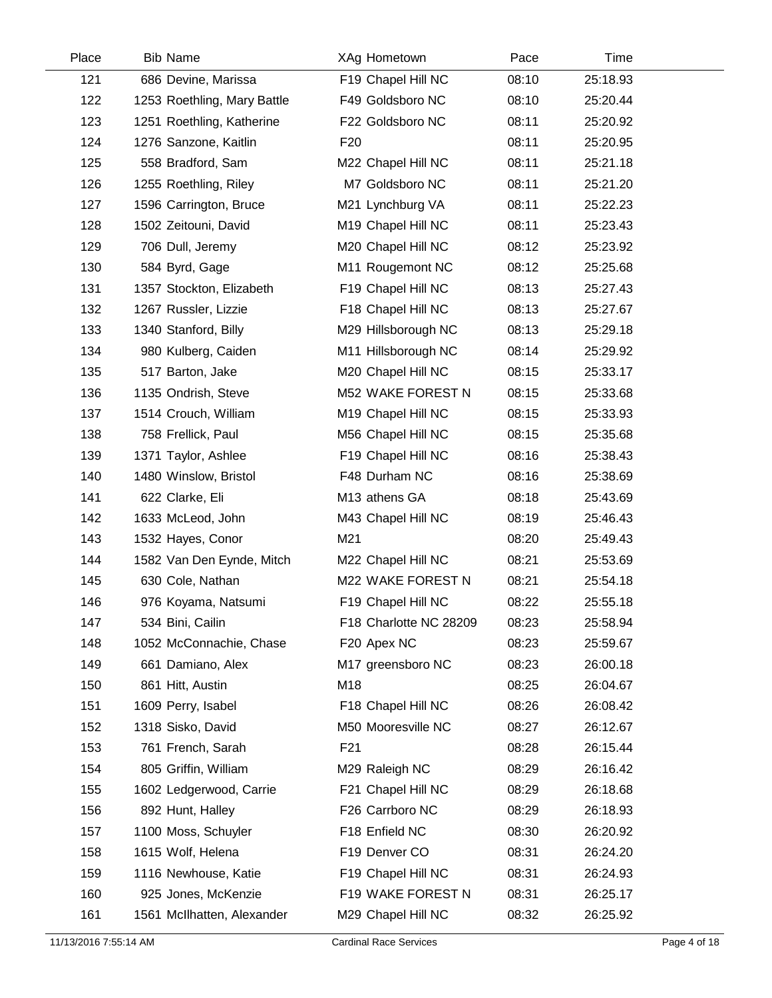| Place | <b>Bib Name</b>             | XAg Hometown           | Pace  | Time     |  |
|-------|-----------------------------|------------------------|-------|----------|--|
| 121   | 686 Devine, Marissa         | F19 Chapel Hill NC     | 08:10 | 25:18.93 |  |
| 122   | 1253 Roethling, Mary Battle | F49 Goldsboro NC       | 08:10 | 25:20.44 |  |
| 123   | 1251 Roethling, Katherine   | F22 Goldsboro NC       | 08:11 | 25:20.92 |  |
| 124   | 1276 Sanzone, Kaitlin       | F <sub>20</sub>        | 08:11 | 25:20.95 |  |
| 125   | 558 Bradford, Sam           | M22 Chapel Hill NC     | 08:11 | 25:21.18 |  |
| 126   | 1255 Roethling, Riley       | M7 Goldsboro NC        | 08:11 | 25:21.20 |  |
| 127   | 1596 Carrington, Bruce      | M21 Lynchburg VA       | 08:11 | 25:22.23 |  |
| 128   | 1502 Zeitouni, David        | M19 Chapel Hill NC     | 08:11 | 25:23.43 |  |
| 129   | 706 Dull, Jeremy            | M20 Chapel Hill NC     | 08:12 | 25:23.92 |  |
| 130   | 584 Byrd, Gage              | M11 Rougemont NC       | 08:12 | 25:25.68 |  |
| 131   | 1357 Stockton, Elizabeth    | F19 Chapel Hill NC     | 08:13 | 25:27.43 |  |
| 132   | 1267 Russler, Lizzie        | F18 Chapel Hill NC     | 08:13 | 25:27.67 |  |
| 133   | 1340 Stanford, Billy        | M29 Hillsborough NC    | 08:13 | 25:29.18 |  |
| 134   | 980 Kulberg, Caiden         | M11 Hillsborough NC    | 08:14 | 25:29.92 |  |
| 135   | 517 Barton, Jake            | M20 Chapel Hill NC     | 08:15 | 25:33.17 |  |
| 136   | 1135 Ondrish, Steve         | M52 WAKE FOREST N      | 08:15 | 25:33.68 |  |
| 137   | 1514 Crouch, William        | M19 Chapel Hill NC     | 08:15 | 25:33.93 |  |
| 138   | 758 Frellick, Paul          | M56 Chapel Hill NC     | 08:15 | 25:35.68 |  |
| 139   | 1371 Taylor, Ashlee         | F19 Chapel Hill NC     | 08:16 | 25:38.43 |  |
| 140   | 1480 Winslow, Bristol       | F48 Durham NC          | 08:16 | 25:38.69 |  |
| 141   | 622 Clarke, Eli             | M13 athens GA          | 08:18 | 25:43.69 |  |
| 142   | 1633 McLeod, John           | M43 Chapel Hill NC     | 08:19 | 25:46.43 |  |
| 143   | 1532 Hayes, Conor           | M21                    | 08:20 | 25:49.43 |  |
| 144   | 1582 Van Den Eynde, Mitch   | M22 Chapel Hill NC     | 08:21 | 25:53.69 |  |
| 145   | 630 Cole, Nathan            | M22 WAKE FOREST N      | 08:21 | 25:54.18 |  |
| 146   | 976 Koyama, Natsumi         | F19 Chapel Hill NC     | 08:22 | 25:55.18 |  |
| 147   | 534 Bini, Cailin            | F18 Charlotte NC 28209 | 08:23 | 25:58.94 |  |
| 148   | 1052 McConnachie, Chase     | F20 Apex NC            | 08:23 | 25:59.67 |  |
| 149   | 661 Damiano, Alex           | M17 greensboro NC      | 08:23 | 26:00.18 |  |
| 150   | 861 Hitt, Austin            | M18                    | 08:25 | 26:04.67 |  |
| 151   | 1609 Perry, Isabel          | F18 Chapel Hill NC     | 08:26 | 26:08.42 |  |
| 152   | 1318 Sisko, David           | M50 Mooresville NC     | 08:27 | 26:12.67 |  |
| 153   | 761 French, Sarah           | F <sub>21</sub>        | 08:28 | 26:15.44 |  |
| 154   | 805 Griffin, William        | M29 Raleigh NC         | 08:29 | 26:16.42 |  |
| 155   | 1602 Ledgerwood, Carrie     | F21 Chapel Hill NC     | 08:29 | 26:18.68 |  |
| 156   | 892 Hunt, Halley            | F26 Carrboro NC        | 08:29 | 26:18.93 |  |
| 157   | 1100 Moss, Schuyler         | F18 Enfield NC         | 08:30 | 26:20.92 |  |
| 158   | 1615 Wolf, Helena           | F19 Denver CO          | 08:31 | 26:24.20 |  |
| 159   | 1116 Newhouse, Katie        | F19 Chapel Hill NC     | 08:31 | 26:24.93 |  |
| 160   | 925 Jones, McKenzie         | F19 WAKE FOREST N      | 08:31 | 26:25.17 |  |
| 161   | 1561 McIlhatten, Alexander  | M29 Chapel Hill NC     | 08:32 | 26:25.92 |  |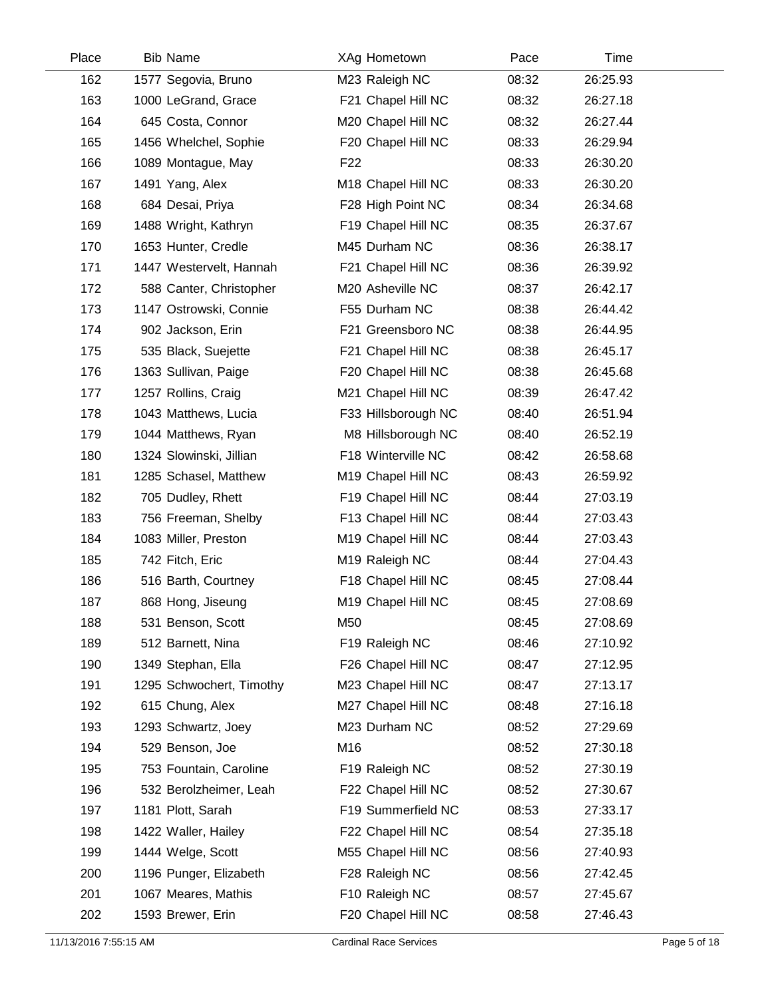| Place | <b>Bib Name</b>          | XAg Hometown        | Pace  | Time     |  |
|-------|--------------------------|---------------------|-------|----------|--|
| 162   | 1577 Segovia, Bruno      | M23 Raleigh NC      | 08:32 | 26:25.93 |  |
| 163   | 1000 LeGrand, Grace      | F21 Chapel Hill NC  | 08:32 | 26:27.18 |  |
| 164   | 645 Costa, Connor        | M20 Chapel Hill NC  | 08:32 | 26:27.44 |  |
| 165   | 1456 Whelchel, Sophie    | F20 Chapel Hill NC  | 08:33 | 26:29.94 |  |
| 166   | 1089 Montague, May       | F <sub>22</sub>     | 08:33 | 26:30.20 |  |
| 167   | 1491 Yang, Alex          | M18 Chapel Hill NC  | 08:33 | 26:30.20 |  |
| 168   | 684 Desai, Priya         | F28 High Point NC   | 08:34 | 26:34.68 |  |
| 169   | 1488 Wright, Kathryn     | F19 Chapel Hill NC  | 08:35 | 26:37.67 |  |
| 170   | 1653 Hunter, Credle      | M45 Durham NC       | 08:36 | 26:38.17 |  |
| 171   | 1447 Westervelt, Hannah  | F21 Chapel Hill NC  | 08:36 | 26:39.92 |  |
| 172   | 588 Canter, Christopher  | M20 Asheville NC    | 08:37 | 26:42.17 |  |
| 173   | 1147 Ostrowski, Connie   | F55 Durham NC       | 08:38 | 26:44.42 |  |
| 174   | 902 Jackson, Erin        | F21 Greensboro NC   | 08:38 | 26:44.95 |  |
| 175   | 535 Black, Suejette      | F21 Chapel Hill NC  | 08:38 | 26:45.17 |  |
| 176   | 1363 Sullivan, Paige     | F20 Chapel Hill NC  | 08:38 | 26:45.68 |  |
| 177   | 1257 Rollins, Craig      | M21 Chapel Hill NC  | 08:39 | 26:47.42 |  |
| 178   | 1043 Matthews, Lucia     | F33 Hillsborough NC | 08:40 | 26:51.94 |  |
| 179   | 1044 Matthews, Ryan      | M8 Hillsborough NC  | 08:40 | 26:52.19 |  |
| 180   | 1324 Slowinski, Jillian  | F18 Winterville NC  | 08:42 | 26:58.68 |  |
| 181   | 1285 Schasel, Matthew    | M19 Chapel Hill NC  | 08:43 | 26:59.92 |  |
| 182   | 705 Dudley, Rhett        | F19 Chapel Hill NC  | 08:44 | 27:03.19 |  |
| 183   | 756 Freeman, Shelby      | F13 Chapel Hill NC  | 08:44 | 27:03.43 |  |
| 184   | 1083 Miller, Preston     | M19 Chapel Hill NC  | 08:44 | 27:03.43 |  |
| 185   | 742 Fitch, Eric          | M19 Raleigh NC      | 08:44 | 27:04.43 |  |
| 186   | 516 Barth, Courtney      | F18 Chapel Hill NC  | 08:45 | 27:08.44 |  |
| 187   | 868 Hong, Jiseung        | M19 Chapel Hill NC  | 08:45 | 27:08.69 |  |
| 188   | 531 Benson, Scott        | M50                 | 08:45 | 27:08.69 |  |
| 189   | 512 Barnett, Nina        | F19 Raleigh NC      | 08:46 | 27:10.92 |  |
| 190   | 1349 Stephan, Ella       | F26 Chapel Hill NC  | 08:47 | 27:12.95 |  |
| 191   | 1295 Schwochert, Timothy | M23 Chapel Hill NC  | 08:47 | 27:13.17 |  |
| 192   | 615 Chung, Alex          | M27 Chapel Hill NC  | 08:48 | 27:16.18 |  |
| 193   | 1293 Schwartz, Joey      | M23 Durham NC       | 08:52 | 27:29.69 |  |
| 194   | 529 Benson, Joe          | M16                 | 08:52 | 27:30.18 |  |
| 195   | 753 Fountain, Caroline   | F19 Raleigh NC      | 08:52 | 27:30.19 |  |
| 196   | 532 Berolzheimer, Leah   | F22 Chapel Hill NC  | 08:52 | 27:30.67 |  |
| 197   | 1181 Plott, Sarah        | F19 Summerfield NC  | 08:53 | 27:33.17 |  |
| 198   | 1422 Waller, Hailey      | F22 Chapel Hill NC  | 08:54 | 27:35.18 |  |
| 199   | 1444 Welge, Scott        | M55 Chapel Hill NC  | 08:56 | 27:40.93 |  |
| 200   | 1196 Punger, Elizabeth   | F28 Raleigh NC      | 08:56 | 27:42.45 |  |
| 201   | 1067 Meares, Mathis      | F10 Raleigh NC      | 08:57 | 27:45.67 |  |
| 202   | 1593 Brewer, Erin        | F20 Chapel Hill NC  | 08:58 | 27:46.43 |  |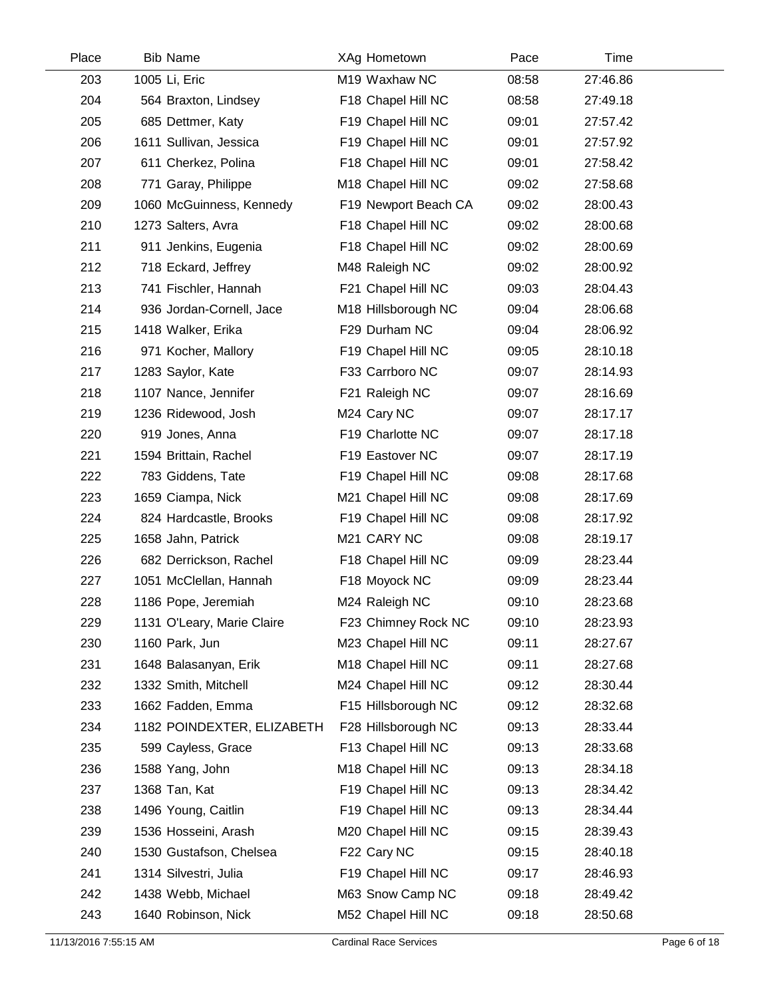| Place | <b>Bib Name</b>            | XAg Hometown         | Pace  | Time     |  |
|-------|----------------------------|----------------------|-------|----------|--|
| 203   | 1005 Li, Eric              | M19 Waxhaw NC        | 08:58 | 27:46.86 |  |
| 204   | 564 Braxton, Lindsey       | F18 Chapel Hill NC   | 08:58 | 27:49.18 |  |
| 205   | 685 Dettmer, Katy          | F19 Chapel Hill NC   | 09:01 | 27:57.42 |  |
| 206   | 1611 Sullivan, Jessica     | F19 Chapel Hill NC   | 09:01 | 27:57.92 |  |
| 207   | 611 Cherkez, Polina        | F18 Chapel Hill NC   | 09:01 | 27:58.42 |  |
| 208   | 771 Garay, Philippe        | M18 Chapel Hill NC   | 09:02 | 27:58.68 |  |
| 209   | 1060 McGuinness, Kennedy   | F19 Newport Beach CA | 09:02 | 28:00.43 |  |
| 210   | 1273 Salters, Avra         | F18 Chapel Hill NC   | 09:02 | 28:00.68 |  |
| 211   | 911 Jenkins, Eugenia       | F18 Chapel Hill NC   | 09:02 | 28:00.69 |  |
| 212   | 718 Eckard, Jeffrey        | M48 Raleigh NC       | 09:02 | 28:00.92 |  |
| 213   | 741 Fischler, Hannah       | F21 Chapel Hill NC   | 09:03 | 28:04.43 |  |
| 214   | 936 Jordan-Cornell, Jace   | M18 Hillsborough NC  | 09:04 | 28:06.68 |  |
| 215   | 1418 Walker, Erika         | F29 Durham NC        | 09:04 | 28:06.92 |  |
| 216   | 971 Kocher, Mallory        | F19 Chapel Hill NC   | 09:05 | 28:10.18 |  |
| 217   | 1283 Saylor, Kate          | F33 Carrboro NC      | 09:07 | 28:14.93 |  |
| 218   | 1107 Nance, Jennifer       | F21 Raleigh NC       | 09:07 | 28:16.69 |  |
| 219   | 1236 Ridewood, Josh        | M24 Cary NC          | 09:07 | 28:17.17 |  |
| 220   | 919 Jones, Anna            | F19 Charlotte NC     | 09:07 | 28:17.18 |  |
| 221   | 1594 Brittain, Rachel      | F19 Eastover NC      | 09:07 | 28:17.19 |  |
| 222   | 783 Giddens, Tate          | F19 Chapel Hill NC   | 09:08 | 28:17.68 |  |
| 223   | 1659 Ciampa, Nick          | M21 Chapel Hill NC   | 09:08 | 28:17.69 |  |
| 224   | 824 Hardcastle, Brooks     | F19 Chapel Hill NC   | 09:08 | 28:17.92 |  |
| 225   | 1658 Jahn, Patrick         | M21 CARY NC          | 09:08 | 28:19.17 |  |
| 226   | 682 Derrickson, Rachel     | F18 Chapel Hill NC   | 09:09 | 28:23.44 |  |
| 227   | 1051 McClellan, Hannah     | F18 Moyock NC        | 09:09 | 28:23.44 |  |
| 228   | 1186 Pope, Jeremiah        | M24 Raleigh NC       | 09:10 | 28:23.68 |  |
| 229   | 1131 O'Leary, Marie Claire | F23 Chimney Rock NC  | 09:10 | 28:23.93 |  |
| 230   | 1160 Park, Jun             | M23 Chapel Hill NC   | 09:11 | 28:27.67 |  |
| 231   | 1648 Balasanyan, Erik      | M18 Chapel Hill NC   | 09:11 | 28:27.68 |  |
| 232   | 1332 Smith, Mitchell       | M24 Chapel Hill NC   | 09:12 | 28:30.44 |  |
| 233   | 1662 Fadden, Emma          | F15 Hillsborough NC  | 09:12 | 28:32.68 |  |
| 234   | 1182 POINDEXTER, ELIZABETH | F28 Hillsborough NC  | 09:13 | 28:33.44 |  |
| 235   | 599 Cayless, Grace         | F13 Chapel Hill NC   | 09:13 | 28:33.68 |  |
| 236   | 1588 Yang, John            | M18 Chapel Hill NC   | 09:13 | 28:34.18 |  |
| 237   | 1368 Tan, Kat              | F19 Chapel Hill NC   | 09:13 | 28:34.42 |  |
| 238   | 1496 Young, Caitlin        | F19 Chapel Hill NC   | 09:13 | 28:34.44 |  |
| 239   | 1536 Hosseini, Arash       | M20 Chapel Hill NC   | 09:15 | 28:39.43 |  |
| 240   | 1530 Gustafson, Chelsea    | F22 Cary NC          | 09:15 | 28:40.18 |  |
| 241   | 1314 Silvestri, Julia      | F19 Chapel Hill NC   | 09:17 | 28:46.93 |  |
| 242   | 1438 Webb, Michael         | M63 Snow Camp NC     | 09:18 | 28:49.42 |  |
| 243   | 1640 Robinson, Nick        | M52 Chapel Hill NC   | 09:18 | 28:50.68 |  |
|       |                            |                      |       |          |  |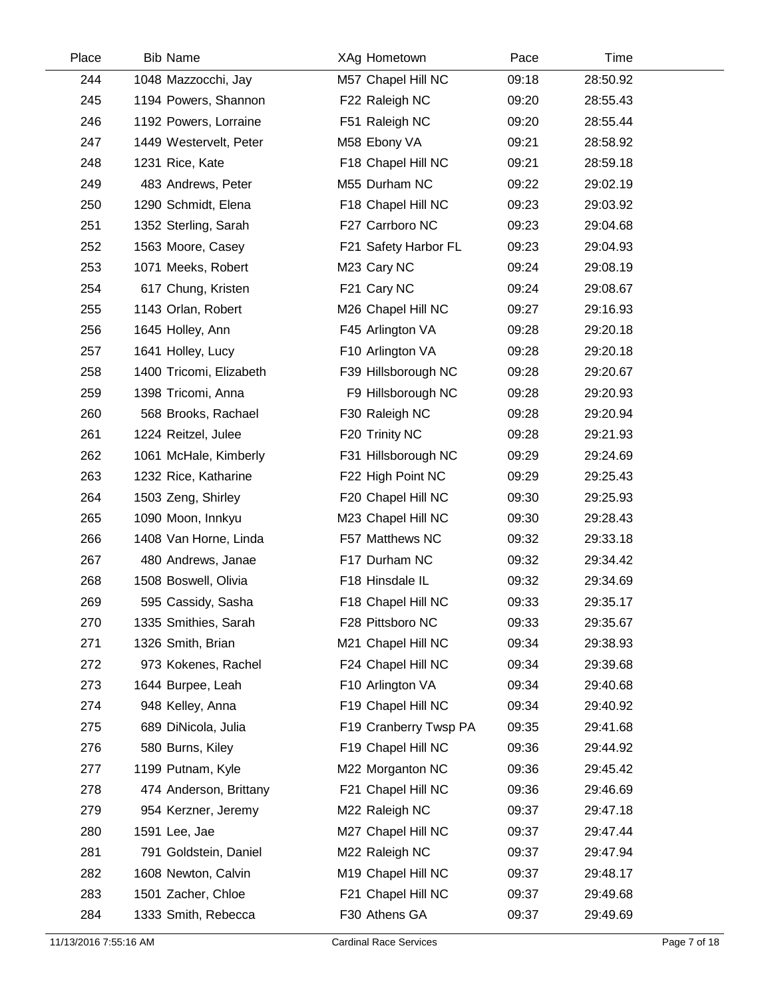| Place | <b>Bib Name</b>         | XAg Hometown          | Pace  | Time     |  |
|-------|-------------------------|-----------------------|-------|----------|--|
| 244   | 1048 Mazzocchi, Jay     | M57 Chapel Hill NC    | 09:18 | 28:50.92 |  |
| 245   | 1194 Powers, Shannon    | F22 Raleigh NC        | 09:20 | 28:55.43 |  |
| 246   | 1192 Powers, Lorraine   | F51 Raleigh NC        | 09:20 | 28:55.44 |  |
| 247   | 1449 Westervelt, Peter  | M58 Ebony VA          | 09:21 | 28:58.92 |  |
| 248   | 1231 Rice, Kate         | F18 Chapel Hill NC    | 09:21 | 28:59.18 |  |
| 249   | 483 Andrews, Peter      | M55 Durham NC         | 09:22 | 29:02.19 |  |
| 250   | 1290 Schmidt, Elena     | F18 Chapel Hill NC    | 09:23 | 29:03.92 |  |
| 251   | 1352 Sterling, Sarah    | F27 Carrboro NC       | 09:23 | 29:04.68 |  |
| 252   | 1563 Moore, Casey       | F21 Safety Harbor FL  | 09:23 | 29:04.93 |  |
| 253   | 1071 Meeks, Robert      | M23 Cary NC           | 09:24 | 29:08.19 |  |
| 254   | 617 Chung, Kristen      | F21 Cary NC           | 09:24 | 29:08.67 |  |
| 255   | 1143 Orlan, Robert      | M26 Chapel Hill NC    | 09:27 | 29:16.93 |  |
| 256   | 1645 Holley, Ann        | F45 Arlington VA      | 09:28 | 29:20.18 |  |
| 257   | 1641 Holley, Lucy       | F10 Arlington VA      | 09:28 | 29:20.18 |  |
| 258   | 1400 Tricomi, Elizabeth | F39 Hillsborough NC   | 09:28 | 29:20.67 |  |
| 259   | 1398 Tricomi, Anna      | F9 Hillsborough NC    | 09:28 | 29:20.93 |  |
| 260   | 568 Brooks, Rachael     | F30 Raleigh NC        | 09:28 | 29:20.94 |  |
| 261   | 1224 Reitzel, Julee     | F20 Trinity NC        | 09:28 | 29:21.93 |  |
| 262   | 1061 McHale, Kimberly   | F31 Hillsborough NC   | 09:29 | 29:24.69 |  |
| 263   | 1232 Rice, Katharine    | F22 High Point NC     | 09:29 | 29:25.43 |  |
| 264   | 1503 Zeng, Shirley      | F20 Chapel Hill NC    | 09:30 | 29:25.93 |  |
| 265   | 1090 Moon, Innkyu       | M23 Chapel Hill NC    | 09:30 | 29:28.43 |  |
| 266   | 1408 Van Horne, Linda   | F57 Matthews NC       | 09:32 | 29:33.18 |  |
| 267   | 480 Andrews, Janae      | F17 Durham NC         | 09:32 | 29:34.42 |  |
| 268   | 1508 Boswell, Olivia    | F18 Hinsdale IL       | 09:32 | 29:34.69 |  |
| 269   | 595 Cassidy, Sasha      | F18 Chapel Hill NC    | 09:33 | 29:35.17 |  |
| 270   | 1335 Smithies, Sarah    | F28 Pittsboro NC      | 09:33 | 29:35.67 |  |
| 271   | 1326 Smith, Brian       | M21 Chapel Hill NC    | 09:34 | 29:38.93 |  |
| 272   | 973 Kokenes, Rachel     | F24 Chapel Hill NC    | 09:34 | 29:39.68 |  |
| 273   | 1644 Burpee, Leah       | F10 Arlington VA      | 09:34 | 29:40.68 |  |
| 274   | 948 Kelley, Anna        | F19 Chapel Hill NC    | 09:34 | 29:40.92 |  |
| 275   | 689 DiNicola, Julia     | F19 Cranberry Twsp PA | 09:35 | 29:41.68 |  |
| 276   | 580 Burns, Kiley        | F19 Chapel Hill NC    | 09:36 | 29:44.92 |  |
| 277   | 1199 Putnam, Kyle       | M22 Morganton NC      | 09:36 | 29:45.42 |  |
| 278   | 474 Anderson, Brittany  | F21 Chapel Hill NC    | 09:36 | 29:46.69 |  |
| 279   | 954 Kerzner, Jeremy     | M22 Raleigh NC        | 09:37 | 29:47.18 |  |
| 280   | 1591 Lee, Jae           | M27 Chapel Hill NC    | 09:37 | 29:47.44 |  |
| 281   | 791 Goldstein, Daniel   | M22 Raleigh NC        | 09:37 | 29:47.94 |  |
| 282   | 1608 Newton, Calvin     | M19 Chapel Hill NC    | 09:37 | 29:48.17 |  |
| 283   | 1501 Zacher, Chloe      | F21 Chapel Hill NC    | 09:37 | 29:49.68 |  |
| 284   | 1333 Smith, Rebecca     | F30 Athens GA         | 09:37 | 29:49.69 |  |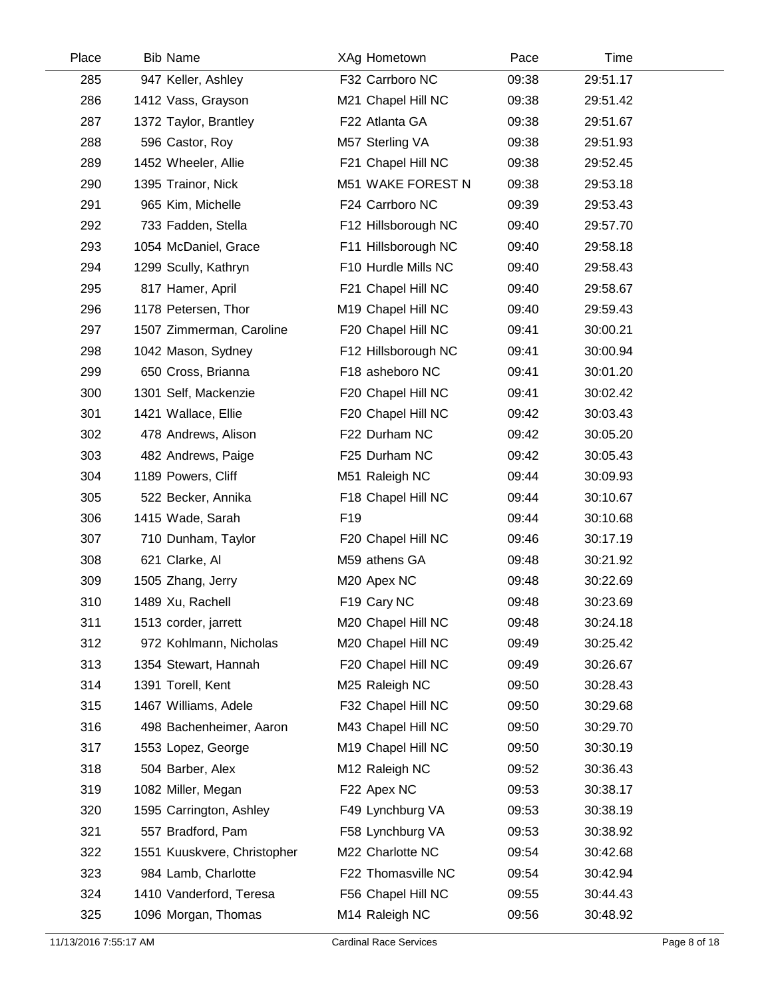| Place | <b>Bib Name</b>             | XAg Hometown        | Pace  | Time     |  |
|-------|-----------------------------|---------------------|-------|----------|--|
| 285   | 947 Keller, Ashley          | F32 Carrboro NC     | 09:38 | 29:51.17 |  |
| 286   | 1412 Vass, Grayson          | M21 Chapel Hill NC  | 09:38 | 29:51.42 |  |
| 287   | 1372 Taylor, Brantley       | F22 Atlanta GA      | 09:38 | 29:51.67 |  |
| 288   | 596 Castor, Roy             | M57 Sterling VA     | 09:38 | 29:51.93 |  |
| 289   | 1452 Wheeler, Allie         | F21 Chapel Hill NC  | 09:38 | 29:52.45 |  |
| 290   | 1395 Trainor, Nick          | M51 WAKE FOREST N   | 09:38 | 29:53.18 |  |
| 291   | 965 Kim, Michelle           | F24 Carrboro NC     | 09:39 | 29:53.43 |  |
| 292   | 733 Fadden, Stella          | F12 Hillsborough NC | 09:40 | 29:57.70 |  |
| 293   | 1054 McDaniel, Grace        | F11 Hillsborough NC | 09:40 | 29:58.18 |  |
| 294   | 1299 Scully, Kathryn        | F10 Hurdle Mills NC | 09:40 | 29:58.43 |  |
| 295   | 817 Hamer, April            | F21 Chapel Hill NC  | 09:40 | 29:58.67 |  |
| 296   | 1178 Petersen, Thor         | M19 Chapel Hill NC  | 09:40 | 29:59.43 |  |
| 297   | 1507 Zimmerman, Caroline    | F20 Chapel Hill NC  | 09:41 | 30:00.21 |  |
| 298   | 1042 Mason, Sydney          | F12 Hillsborough NC | 09:41 | 30:00.94 |  |
| 299   | 650 Cross, Brianna          | F18 asheboro NC     | 09:41 | 30:01.20 |  |
| 300   | 1301 Self, Mackenzie        | F20 Chapel Hill NC  | 09:41 | 30:02.42 |  |
| 301   | 1421 Wallace, Ellie         | F20 Chapel Hill NC  | 09:42 | 30:03.43 |  |
| 302   | 478 Andrews, Alison         | F22 Durham NC       | 09:42 | 30:05.20 |  |
| 303   | 482 Andrews, Paige          | F25 Durham NC       | 09:42 | 30:05.43 |  |
| 304   | 1189 Powers, Cliff          | M51 Raleigh NC      | 09:44 | 30:09.93 |  |
| 305   | 522 Becker, Annika          | F18 Chapel Hill NC  | 09:44 | 30:10.67 |  |
| 306   | 1415 Wade, Sarah            | F <sub>19</sub>     | 09:44 | 30:10.68 |  |
| 307   | 710 Dunham, Taylor          | F20 Chapel Hill NC  | 09:46 | 30:17.19 |  |
| 308   | 621 Clarke, Al              | M59 athens GA       | 09:48 | 30:21.92 |  |
| 309   | 1505 Zhang, Jerry           | M20 Apex NC         | 09:48 | 30:22.69 |  |
| 310   | 1489 Xu, Rachell            | F19 Cary NC         | 09:48 | 30:23.69 |  |
| 311   | 1513 corder, jarrett        | M20 Chapel Hill NC  | 09:48 | 30:24.18 |  |
| 312   | 972 Kohlmann, Nicholas      | M20 Chapel Hill NC  | 09:49 | 30:25.42 |  |
| 313   | 1354 Stewart, Hannah        | F20 Chapel Hill NC  | 09:49 | 30:26.67 |  |
| 314   | 1391 Torell, Kent           | M25 Raleigh NC      | 09:50 | 30:28.43 |  |
| 315   | 1467 Williams, Adele        | F32 Chapel Hill NC  | 09:50 | 30:29.68 |  |
| 316   | 498 Bachenheimer, Aaron     | M43 Chapel Hill NC  | 09:50 | 30:29.70 |  |
| 317   | 1553 Lopez, George          | M19 Chapel Hill NC  | 09:50 | 30:30.19 |  |
| 318   | 504 Barber, Alex            | M12 Raleigh NC      | 09:52 | 30:36.43 |  |
| 319   | 1082 Miller, Megan          | F22 Apex NC         | 09:53 | 30:38.17 |  |
| 320   | 1595 Carrington, Ashley     | F49 Lynchburg VA    | 09:53 | 30:38.19 |  |
| 321   | 557 Bradford, Pam           | F58 Lynchburg VA    | 09:53 | 30:38.92 |  |
| 322   | 1551 Kuuskvere, Christopher | M22 Charlotte NC    | 09:54 | 30:42.68 |  |
| 323   | 984 Lamb, Charlotte         | F22 Thomasville NC  | 09:54 | 30:42.94 |  |
| 324   | 1410 Vanderford, Teresa     | F56 Chapel Hill NC  | 09:55 | 30:44.43 |  |
| 325   | 1096 Morgan, Thomas         | M14 Raleigh NC      | 09:56 | 30:48.92 |  |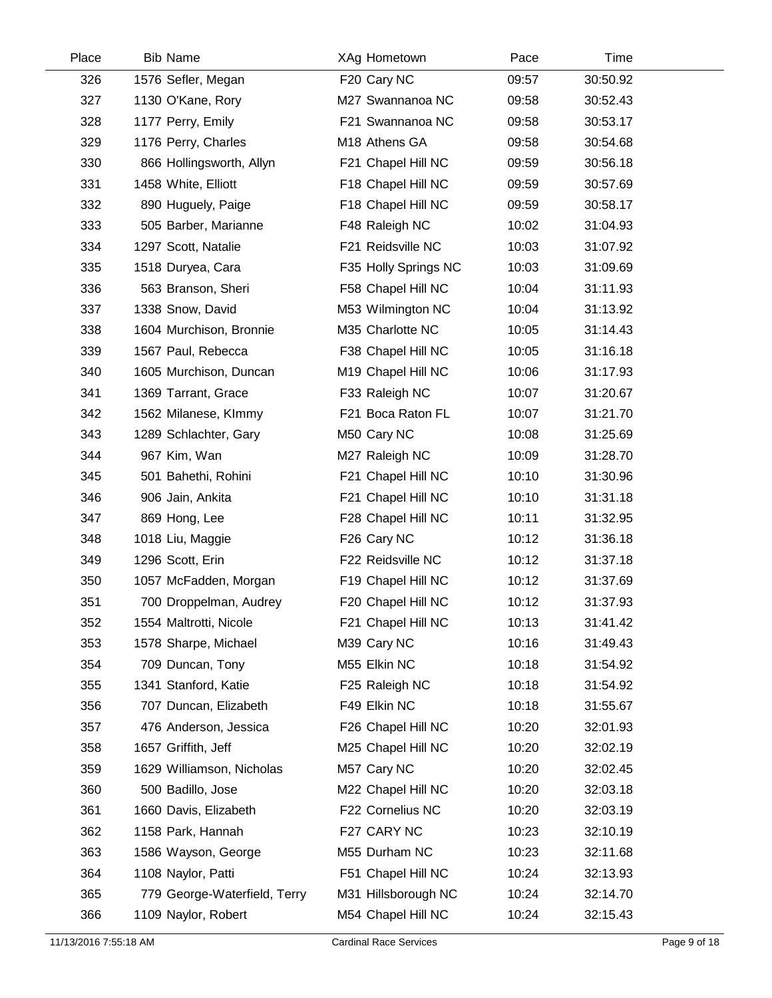| Place | <b>Bib Name</b>              | XAg Hometown         | Pace  | Time     |  |
|-------|------------------------------|----------------------|-------|----------|--|
| 326   | 1576 Sefler, Megan           | F20 Cary NC          | 09:57 | 30:50.92 |  |
| 327   | 1130 O'Kane, Rory            | M27 Swannanoa NC     | 09:58 | 30:52.43 |  |
| 328   | 1177 Perry, Emily            | F21 Swannanoa NC     | 09:58 | 30:53.17 |  |
| 329   | 1176 Perry, Charles          | M18 Athens GA        | 09:58 | 30:54.68 |  |
| 330   | 866 Hollingsworth, Allyn     | F21 Chapel Hill NC   | 09:59 | 30:56.18 |  |
| 331   | 1458 White, Elliott          | F18 Chapel Hill NC   | 09:59 | 30:57.69 |  |
| 332   | 890 Huguely, Paige           | F18 Chapel Hill NC   | 09:59 | 30:58.17 |  |
| 333   | 505 Barber, Marianne         | F48 Raleigh NC       | 10:02 | 31:04.93 |  |
| 334   | 1297 Scott, Natalie          | F21 Reidsville NC    | 10:03 | 31:07.92 |  |
| 335   | 1518 Duryea, Cara            | F35 Holly Springs NC | 10:03 | 31:09.69 |  |
| 336   | 563 Branson, Sheri           | F58 Chapel Hill NC   | 10:04 | 31:11.93 |  |
| 337   | 1338 Snow, David             | M53 Wilmington NC    | 10:04 | 31:13.92 |  |
| 338   | 1604 Murchison, Bronnie      | M35 Charlotte NC     | 10:05 | 31:14.43 |  |
| 339   | 1567 Paul, Rebecca           | F38 Chapel Hill NC   | 10:05 | 31:16.18 |  |
| 340   | 1605 Murchison, Duncan       | M19 Chapel Hill NC   | 10:06 | 31:17.93 |  |
| 341   | 1369 Tarrant, Grace          | F33 Raleigh NC       | 10:07 | 31:20.67 |  |
| 342   | 1562 Milanese, Klmmy         | F21 Boca Raton FL    | 10:07 | 31:21.70 |  |
| 343   | 1289 Schlachter, Gary        | M50 Cary NC          | 10:08 | 31:25.69 |  |
| 344   | 967 Kim, Wan                 | M27 Raleigh NC       | 10:09 | 31:28.70 |  |
| 345   | 501 Bahethi, Rohini          | F21 Chapel Hill NC   | 10:10 | 31:30.96 |  |
| 346   | 906 Jain, Ankita             | F21 Chapel Hill NC   | 10:10 | 31:31.18 |  |
| 347   | 869 Hong, Lee                | F28 Chapel Hill NC   | 10:11 | 31:32.95 |  |
| 348   | 1018 Liu, Maggie             | F26 Cary NC          | 10:12 | 31:36.18 |  |
| 349   | 1296 Scott, Erin             | F22 Reidsville NC    | 10:12 | 31:37.18 |  |
| 350   | 1057 McFadden, Morgan        | F19 Chapel Hill NC   | 10:12 | 31:37.69 |  |
| 351   | 700 Droppelman, Audrey       | F20 Chapel Hill NC   | 10:12 | 31:37.93 |  |
| 352   | 1554 Maltrotti, Nicole       | F21 Chapel Hill NC   | 10:13 | 31:41.42 |  |
| 353   | 1578 Sharpe, Michael         | M39 Cary NC          | 10:16 | 31:49.43 |  |
| 354   | 709 Duncan, Tony             | M55 Elkin NC         | 10:18 | 31:54.92 |  |
| 355   | 1341 Stanford, Katie         | F25 Raleigh NC       | 10:18 | 31:54.92 |  |
| 356   | 707 Duncan, Elizabeth        | F49 Elkin NC         | 10:18 | 31:55.67 |  |
| 357   | 476 Anderson, Jessica        | F26 Chapel Hill NC   | 10:20 | 32:01.93 |  |
| 358   | 1657 Griffith, Jeff          | M25 Chapel Hill NC   | 10:20 | 32:02.19 |  |
| 359   | 1629 Williamson, Nicholas    | M57 Cary NC          | 10:20 | 32:02.45 |  |
| 360   | 500 Badillo, Jose            | M22 Chapel Hill NC   | 10:20 | 32:03.18 |  |
| 361   | 1660 Davis, Elizabeth        | F22 Cornelius NC     | 10:20 | 32:03.19 |  |
| 362   | 1158 Park, Hannah            | F27 CARY NC          | 10:23 | 32:10.19 |  |
| 363   | 1586 Wayson, George          | M55 Durham NC        | 10:23 | 32:11.68 |  |
| 364   | 1108 Naylor, Patti           | F51 Chapel Hill NC   | 10:24 | 32:13.93 |  |
| 365   | 779 George-Waterfield, Terry | M31 Hillsborough NC  | 10:24 | 32:14.70 |  |
| 366   | 1109 Naylor, Robert          | M54 Chapel Hill NC   | 10:24 | 32:15.43 |  |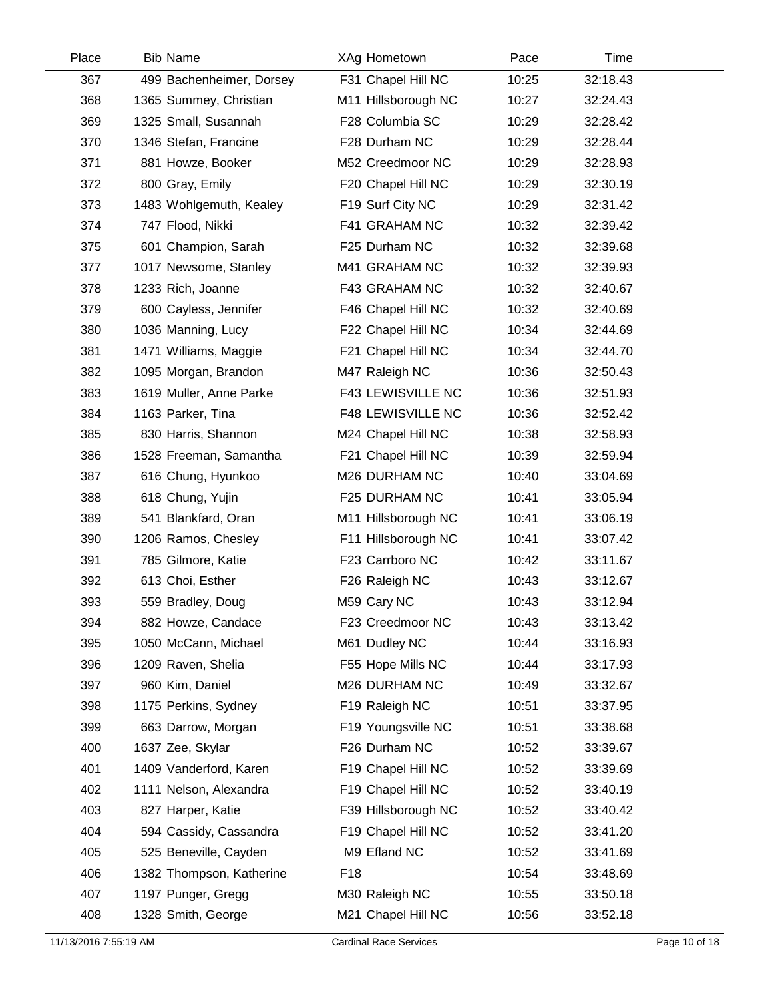| Place | <b>Bib Name</b>          | XAg Hometown             | Pace  | Time     |  |
|-------|--------------------------|--------------------------|-------|----------|--|
| 367   | 499 Bachenheimer, Dorsey | F31 Chapel Hill NC       | 10:25 | 32:18.43 |  |
| 368   | 1365 Summey, Christian   | M11 Hillsborough NC      | 10:27 | 32:24.43 |  |
| 369   | 1325 Small, Susannah     | F28 Columbia SC          | 10:29 | 32:28.42 |  |
| 370   | 1346 Stefan, Francine    | F28 Durham NC            | 10:29 | 32:28.44 |  |
| 371   | 881 Howze, Booker        | M52 Creedmoor NC         | 10:29 | 32:28.93 |  |
| 372   | 800 Gray, Emily          | F20 Chapel Hill NC       | 10:29 | 32:30.19 |  |
| 373   | 1483 Wohlgemuth, Kealey  | F19 Surf City NC         | 10:29 | 32:31.42 |  |
| 374   | 747 Flood, Nikki         | F41 GRAHAM NC            | 10:32 | 32:39.42 |  |
| 375   | 601 Champion, Sarah      | F25 Durham NC            | 10:32 | 32:39.68 |  |
| 377   | 1017 Newsome, Stanley    | M41 GRAHAM NC            | 10:32 | 32:39.93 |  |
| 378   | 1233 Rich, Joanne        | F43 GRAHAM NC            | 10:32 | 32:40.67 |  |
| 379   | 600 Cayless, Jennifer    | F46 Chapel Hill NC       | 10:32 | 32:40.69 |  |
| 380   | 1036 Manning, Lucy       | F22 Chapel Hill NC       | 10:34 | 32:44.69 |  |
| 381   | 1471 Williams, Maggie    | F21 Chapel Hill NC       | 10:34 | 32:44.70 |  |
| 382   | 1095 Morgan, Brandon     | M47 Raleigh NC           | 10:36 | 32:50.43 |  |
| 383   | 1619 Muller, Anne Parke  | <b>F43 LEWISVILLE NC</b> | 10:36 | 32:51.93 |  |
| 384   | 1163 Parker, Tina        | <b>F48 LEWISVILLE NC</b> | 10:36 | 32:52.42 |  |
| 385   | 830 Harris, Shannon      | M24 Chapel Hill NC       | 10:38 | 32:58.93 |  |
| 386   | 1528 Freeman, Samantha   | F21 Chapel Hill NC       | 10:39 | 32:59.94 |  |
| 387   | 616 Chung, Hyunkoo       | M26 DURHAM NC            | 10:40 | 33:04.69 |  |
| 388   | 618 Chung, Yujin         | F25 DURHAM NC            | 10:41 | 33:05.94 |  |
| 389   | 541 Blankfard, Oran      | M11 Hillsborough NC      | 10:41 | 33:06.19 |  |
| 390   | 1206 Ramos, Chesley      | F11 Hillsborough NC      | 10:41 | 33:07.42 |  |
| 391   | 785 Gilmore, Katie       | F23 Carrboro NC          | 10:42 | 33:11.67 |  |
| 392   | 613 Choi, Esther         | F26 Raleigh NC           | 10:43 | 33:12.67 |  |
| 393   | 559 Bradley, Doug        | M59 Cary NC              | 10:43 | 33:12.94 |  |
| 394   | 882 Howze, Candace       | F23 Creedmoor NC         | 10:43 | 33:13.42 |  |
| 395   | 1050 McCann, Michael     | M61 Dudley NC            | 10:44 | 33:16.93 |  |
| 396   | 1209 Raven, Shelia       | F55 Hope Mills NC        | 10:44 | 33:17.93 |  |
| 397   | 960 Kim, Daniel          | M26 DURHAM NC            | 10:49 | 33:32.67 |  |
| 398   | 1175 Perkins, Sydney     | F19 Raleigh NC           | 10:51 | 33:37.95 |  |
| 399   | 663 Darrow, Morgan       | F19 Youngsville NC       | 10:51 | 33:38.68 |  |
| 400   | 1637 Zee, Skylar         | F26 Durham NC            | 10:52 | 33:39.67 |  |
| 401   | 1409 Vanderford, Karen   | F19 Chapel Hill NC       | 10:52 | 33:39.69 |  |
| 402   | 1111 Nelson, Alexandra   | F19 Chapel Hill NC       | 10:52 | 33:40.19 |  |
| 403   | 827 Harper, Katie        | F39 Hillsborough NC      | 10:52 | 33:40.42 |  |
| 404   | 594 Cassidy, Cassandra   | F19 Chapel Hill NC       | 10:52 | 33:41.20 |  |
| 405   | 525 Beneville, Cayden    | M9 Efland NC             | 10:52 | 33:41.69 |  |
| 406   | 1382 Thompson, Katherine | F <sub>18</sub>          | 10:54 | 33:48.69 |  |
| 407   | 1197 Punger, Gregg       | M30 Raleigh NC           | 10:55 | 33:50.18 |  |
| 408   | 1328 Smith, George       | M21 Chapel Hill NC       | 10:56 | 33:52.18 |  |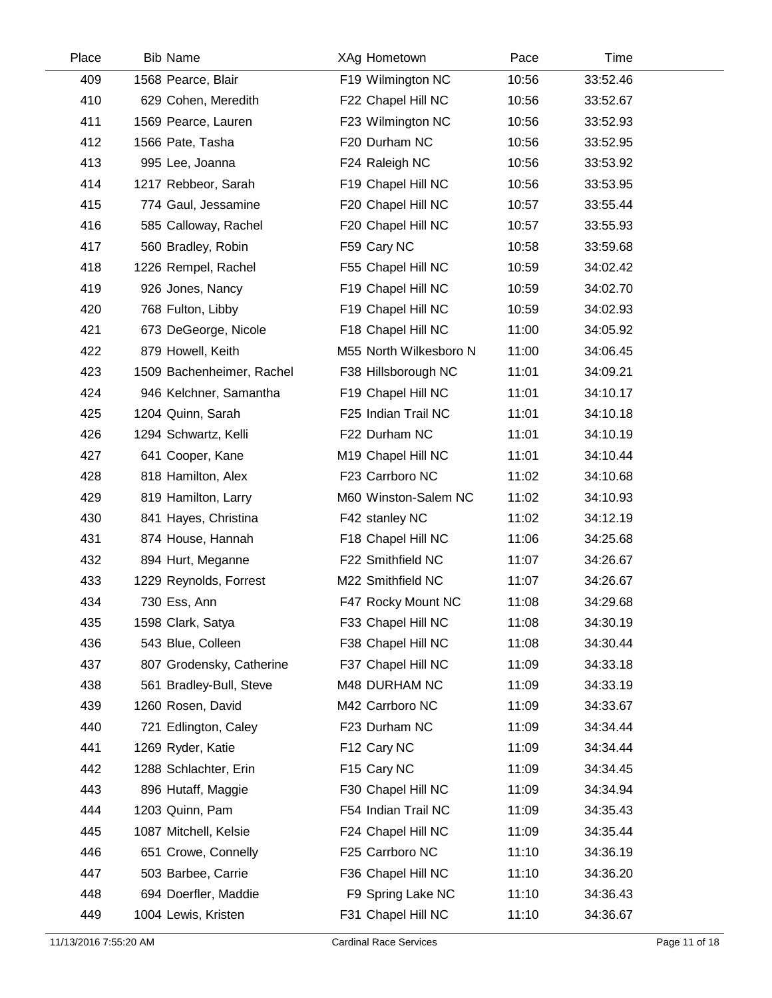| Place | <b>Bib Name</b>           | XAg Hometown           | Pace  | Time     |  |
|-------|---------------------------|------------------------|-------|----------|--|
| 409   | 1568 Pearce, Blair        | F19 Wilmington NC      | 10:56 | 33:52.46 |  |
| 410   | 629 Cohen, Meredith       | F22 Chapel Hill NC     | 10:56 | 33:52.67 |  |
| 411   | 1569 Pearce, Lauren       | F23 Wilmington NC      | 10:56 | 33:52.93 |  |
| 412   | 1566 Pate, Tasha          | F20 Durham NC          | 10:56 | 33:52.95 |  |
| 413   | 995 Lee, Joanna           | F24 Raleigh NC         | 10:56 | 33:53.92 |  |
| 414   | 1217 Rebbeor, Sarah       | F19 Chapel Hill NC     | 10:56 | 33:53.95 |  |
| 415   | 774 Gaul, Jessamine       | F20 Chapel Hill NC     | 10:57 | 33:55.44 |  |
| 416   | 585 Calloway, Rachel      | F20 Chapel Hill NC     | 10:57 | 33:55.93 |  |
| 417   | 560 Bradley, Robin        | F59 Cary NC            | 10:58 | 33:59.68 |  |
| 418   | 1226 Rempel, Rachel       | F55 Chapel Hill NC     | 10:59 | 34:02.42 |  |
| 419   | 926 Jones, Nancy          | F19 Chapel Hill NC     | 10:59 | 34:02.70 |  |
| 420   | 768 Fulton, Libby         | F19 Chapel Hill NC     | 10:59 | 34:02.93 |  |
| 421   | 673 DeGeorge, Nicole      | F18 Chapel Hill NC     | 11:00 | 34:05.92 |  |
| 422   | 879 Howell, Keith         | M55 North Wilkesboro N | 11:00 | 34:06.45 |  |
| 423   | 1509 Bachenheimer, Rachel | F38 Hillsborough NC    | 11:01 | 34:09.21 |  |
| 424   | 946 Kelchner, Samantha    | F19 Chapel Hill NC     | 11:01 | 34:10.17 |  |
| 425   | 1204 Quinn, Sarah         | F25 Indian Trail NC    | 11:01 | 34:10.18 |  |
| 426   | 1294 Schwartz, Kelli      | F22 Durham NC          | 11:01 | 34:10.19 |  |
| 427   | 641 Cooper, Kane          | M19 Chapel Hill NC     | 11:01 | 34:10.44 |  |
| 428   | 818 Hamilton, Alex        | F23 Carrboro NC        | 11:02 | 34:10.68 |  |
| 429   | 819 Hamilton, Larry       | M60 Winston-Salem NC   | 11:02 | 34:10.93 |  |
| 430   | 841 Hayes, Christina      | F42 stanley NC         | 11:02 | 34:12.19 |  |
| 431   | 874 House, Hannah         | F18 Chapel Hill NC     | 11:06 | 34:25.68 |  |
| 432   | 894 Hurt, Meganne         | F22 Smithfield NC      | 11:07 | 34:26.67 |  |
| 433   | 1229 Reynolds, Forrest    | M22 Smithfield NC      | 11:07 | 34:26.67 |  |
| 434   | 730 Ess, Ann              | F47 Rocky Mount NC     | 11:08 | 34:29.68 |  |
| 435   | 1598 Clark, Satya         | F33 Chapel Hill NC     | 11:08 | 34:30.19 |  |
| 436   | 543 Blue, Colleen         | F38 Chapel Hill NC     | 11:08 | 34:30.44 |  |
| 437   | 807 Grodensky, Catherine  | F37 Chapel Hill NC     | 11:09 | 34:33.18 |  |
| 438   | 561 Bradley-Bull, Steve   | M48 DURHAM NC          | 11:09 | 34:33.19 |  |
| 439   | 1260 Rosen, David         | M42 Carrboro NC        | 11:09 | 34:33.67 |  |
| 440   | 721 Edlington, Caley      | F23 Durham NC          | 11:09 | 34:34.44 |  |
| 441   | 1269 Ryder, Katie         | F12 Cary NC            | 11:09 | 34:34.44 |  |
| 442   | 1288 Schlachter, Erin     | F15 Cary NC            | 11:09 | 34:34.45 |  |
| 443   | 896 Hutaff, Maggie        | F30 Chapel Hill NC     | 11:09 | 34:34.94 |  |
| 444   | 1203 Quinn, Pam           | F54 Indian Trail NC    | 11:09 | 34:35.43 |  |
| 445   | 1087 Mitchell, Kelsie     | F24 Chapel Hill NC     | 11:09 | 34:35.44 |  |
| 446   | 651 Crowe, Connelly       | F25 Carrboro NC        | 11:10 | 34:36.19 |  |
| 447   | 503 Barbee, Carrie        | F36 Chapel Hill NC     | 11:10 | 34:36.20 |  |
| 448   | 694 Doerfler, Maddie      | F9 Spring Lake NC      | 11:10 | 34:36.43 |  |
| 449   | 1004 Lewis, Kristen       | F31 Chapel Hill NC     | 11:10 | 34:36.67 |  |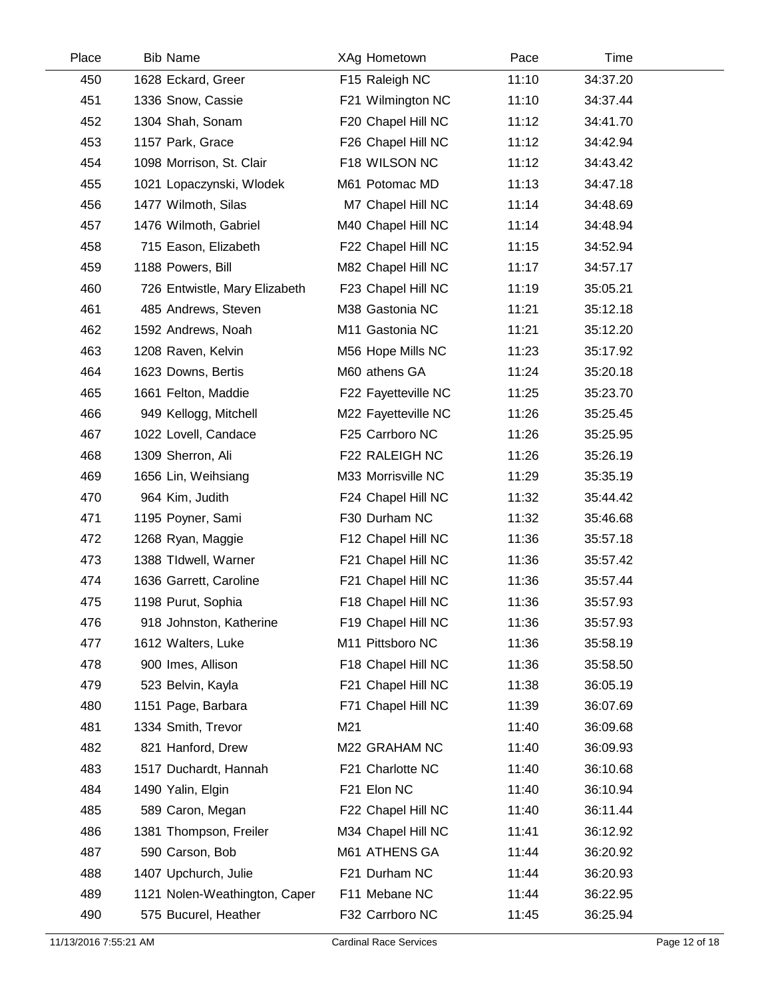| Place | <b>Bib Name</b>               | XAg Hometown        | Pace  | Time     |  |
|-------|-------------------------------|---------------------|-------|----------|--|
| 450   | 1628 Eckard, Greer            | F15 Raleigh NC      | 11:10 | 34:37.20 |  |
| 451   | 1336 Snow, Cassie             | F21 Wilmington NC   | 11:10 | 34:37.44 |  |
| 452   | 1304 Shah, Sonam              | F20 Chapel Hill NC  | 11:12 | 34:41.70 |  |
| 453   | 1157 Park, Grace              | F26 Chapel Hill NC  | 11:12 | 34:42.94 |  |
| 454   | 1098 Morrison, St. Clair      | F18 WILSON NC       | 11:12 | 34:43.42 |  |
| 455   | 1021 Lopaczynski, Wlodek      | M61 Potomac MD      | 11:13 | 34:47.18 |  |
| 456   | 1477 Wilmoth, Silas           | M7 Chapel Hill NC   | 11:14 | 34:48.69 |  |
| 457   | 1476 Wilmoth, Gabriel         | M40 Chapel Hill NC  | 11:14 | 34:48.94 |  |
| 458   | 715 Eason, Elizabeth          | F22 Chapel Hill NC  | 11:15 | 34:52.94 |  |
| 459   | 1188 Powers, Bill             | M82 Chapel Hill NC  | 11:17 | 34:57.17 |  |
| 460   | 726 Entwistle, Mary Elizabeth | F23 Chapel Hill NC  | 11:19 | 35:05.21 |  |
| 461   | 485 Andrews, Steven           | M38 Gastonia NC     | 11:21 | 35:12.18 |  |
| 462   | 1592 Andrews, Noah            | M11 Gastonia NC     | 11:21 | 35:12.20 |  |
| 463   | 1208 Raven, Kelvin            | M56 Hope Mills NC   | 11:23 | 35:17.92 |  |
| 464   | 1623 Downs, Bertis            | M60 athens GA       | 11:24 | 35:20.18 |  |
| 465   | 1661 Felton, Maddie           | F22 Fayetteville NC | 11:25 | 35:23.70 |  |
| 466   | 949 Kellogg, Mitchell         | M22 Fayetteville NC | 11:26 | 35:25.45 |  |
| 467   | 1022 Lovell, Candace          | F25 Carrboro NC     | 11:26 | 35:25.95 |  |
| 468   | 1309 Sherron, Ali             | F22 RALEIGH NC      | 11:26 | 35:26.19 |  |
| 469   | 1656 Lin, Weihsiang           | M33 Morrisville NC  | 11:29 | 35:35.19 |  |
| 470   | 964 Kim, Judith               | F24 Chapel Hill NC  | 11:32 | 35:44.42 |  |
| 471   | 1195 Poyner, Sami             | F30 Durham NC       | 11:32 | 35:46.68 |  |
| 472   | 1268 Ryan, Maggie             | F12 Chapel Hill NC  | 11:36 | 35:57.18 |  |
| 473   | 1388 TIdwell, Warner          | F21 Chapel Hill NC  | 11:36 | 35:57.42 |  |
| 474   | 1636 Garrett, Caroline        | F21 Chapel Hill NC  | 11:36 | 35:57.44 |  |
| 475   | 1198 Purut, Sophia            | F18 Chapel Hill NC  | 11:36 | 35:57.93 |  |
| 476   | 918 Johnston, Katherine       | F19 Chapel Hill NC  | 11:36 | 35:57.93 |  |
| 477   | 1612 Walters, Luke            | M11 Pittsboro NC    | 11:36 | 35:58.19 |  |
| 478   | 900 Imes, Allison             | F18 Chapel Hill NC  | 11:36 | 35:58.50 |  |
| 479   | 523 Belvin, Kayla             | F21 Chapel Hill NC  | 11:38 | 36:05.19 |  |
| 480   | 1151 Page, Barbara            | F71 Chapel Hill NC  | 11:39 | 36:07.69 |  |
| 481   | 1334 Smith, Trevor            | M21                 | 11:40 | 36:09.68 |  |
| 482   | 821 Hanford, Drew             | M22 GRAHAM NC       | 11:40 | 36:09.93 |  |
| 483   | 1517 Duchardt, Hannah         | F21 Charlotte NC    | 11:40 | 36:10.68 |  |
| 484   | 1490 Yalin, Elgin             | F21 Elon NC         | 11:40 | 36:10.94 |  |
| 485   | 589 Caron, Megan              | F22 Chapel Hill NC  | 11:40 | 36:11.44 |  |
| 486   | 1381 Thompson, Freiler        | M34 Chapel Hill NC  | 11:41 | 36:12.92 |  |
| 487   | 590 Carson, Bob               | M61 ATHENS GA       | 11:44 | 36:20.92 |  |
| 488   | 1407 Upchurch, Julie          | F21 Durham NC       | 11:44 | 36:20.93 |  |
| 489   | 1121 Nolen-Weathington, Caper | F11 Mebane NC       | 11:44 | 36:22.95 |  |
| 490   | 575 Bucurel, Heather          | F32 Carrboro NC     | 11:45 | 36:25.94 |  |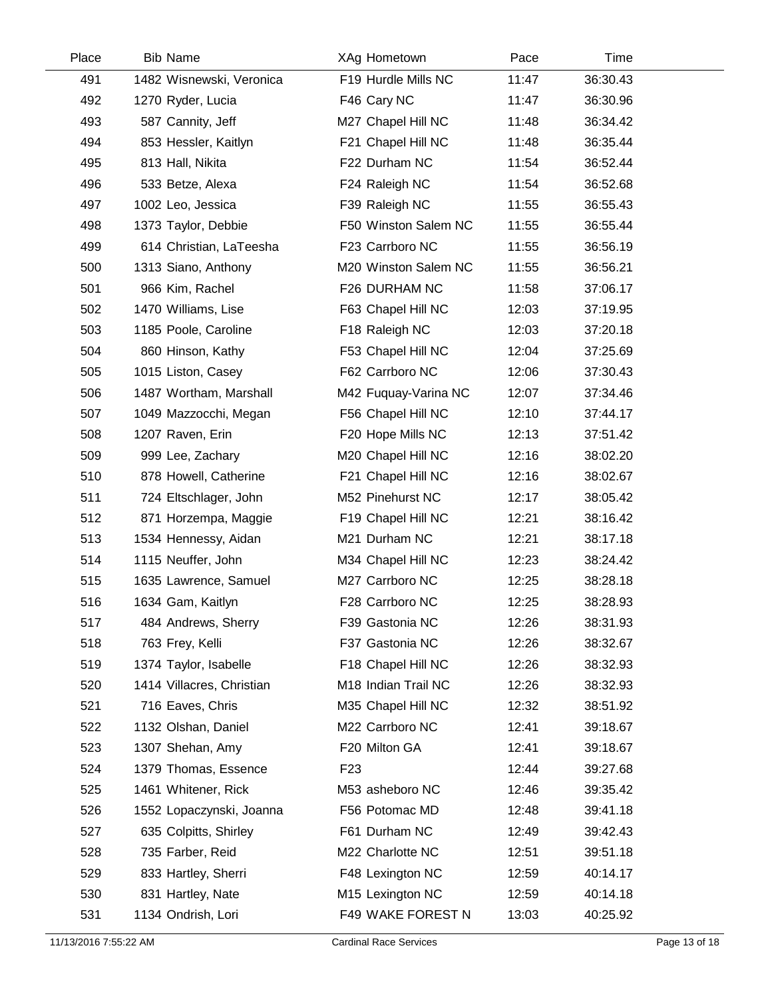| Place | <b>Bib Name</b>           | XAg Hometown         | Pace  | Time     |  |
|-------|---------------------------|----------------------|-------|----------|--|
| 491   | 1482 Wisnewski, Veronica  | F19 Hurdle Mills NC  | 11:47 | 36:30.43 |  |
| 492   | 1270 Ryder, Lucia         | F46 Cary NC          | 11:47 | 36:30.96 |  |
| 493   | 587 Cannity, Jeff         | M27 Chapel Hill NC   | 11:48 | 36:34.42 |  |
| 494   | 853 Hessler, Kaitlyn      | F21 Chapel Hill NC   | 11:48 | 36:35.44 |  |
| 495   | 813 Hall, Nikita          | F22 Durham NC        | 11:54 | 36:52.44 |  |
| 496   | 533 Betze, Alexa          | F24 Raleigh NC       | 11:54 | 36:52.68 |  |
| 497   | 1002 Leo, Jessica         | F39 Raleigh NC       | 11:55 | 36:55.43 |  |
| 498   | 1373 Taylor, Debbie       | F50 Winston Salem NC | 11:55 | 36:55.44 |  |
| 499   | 614 Christian, LaTeesha   | F23 Carrboro NC      | 11:55 | 36:56.19 |  |
| 500   | 1313 Siano, Anthony       | M20 Winston Salem NC | 11:55 | 36:56.21 |  |
| 501   | 966 Kim, Rachel           | F26 DURHAM NC        | 11:58 | 37:06.17 |  |
| 502   | 1470 Williams, Lise       | F63 Chapel Hill NC   | 12:03 | 37:19.95 |  |
| 503   | 1185 Poole, Caroline      | F18 Raleigh NC       | 12:03 | 37:20.18 |  |
| 504   | 860 Hinson, Kathy         | F53 Chapel Hill NC   | 12:04 | 37:25.69 |  |
| 505   | 1015 Liston, Casey        | F62 Carrboro NC      | 12:06 | 37:30.43 |  |
| 506   | 1487 Wortham, Marshall    | M42 Fuquay-Varina NC | 12:07 | 37:34.46 |  |
| 507   | 1049 Mazzocchi, Megan     | F56 Chapel Hill NC   | 12:10 | 37:44.17 |  |
| 508   | 1207 Raven, Erin          | F20 Hope Mills NC    | 12:13 | 37:51.42 |  |
| 509   | 999 Lee, Zachary          | M20 Chapel Hill NC   | 12:16 | 38:02.20 |  |
| 510   | 878 Howell, Catherine     | F21 Chapel Hill NC   | 12:16 | 38:02.67 |  |
| 511   | 724 Eltschlager, John     | M52 Pinehurst NC     | 12:17 | 38:05.42 |  |
| 512   | 871 Horzempa, Maggie      | F19 Chapel Hill NC   | 12:21 | 38:16.42 |  |
| 513   | 1534 Hennessy, Aidan      | M21 Durham NC        | 12:21 | 38:17.18 |  |
| 514   | 1115 Neuffer, John        | M34 Chapel Hill NC   | 12:23 | 38:24.42 |  |
| 515   | 1635 Lawrence, Samuel     | M27 Carrboro NC      | 12:25 | 38:28.18 |  |
| 516   | 1634 Gam, Kaitlyn         | F28 Carrboro NC      | 12:25 | 38:28.93 |  |
| 517   | 484 Andrews, Sherry       | F39 Gastonia NC      | 12:26 | 38:31.93 |  |
| 518   | 763 Frey, Kelli           | F37 Gastonia NC      | 12:26 | 38:32.67 |  |
| 519   | 1374 Taylor, Isabelle     | F18 Chapel Hill NC   | 12:26 | 38:32.93 |  |
| 520   | 1414 Villacres, Christian | M18 Indian Trail NC  | 12:26 | 38:32.93 |  |
| 521   | 716 Eaves, Chris          | M35 Chapel Hill NC   | 12:32 | 38:51.92 |  |
| 522   | 1132 Olshan, Daniel       | M22 Carrboro NC      | 12:41 | 39:18.67 |  |
| 523   | 1307 Shehan, Amy          | F20 Milton GA        | 12:41 | 39:18.67 |  |
| 524   | 1379 Thomas, Essence      | F <sub>23</sub>      | 12:44 | 39:27.68 |  |
| 525   | 1461 Whitener, Rick       | M53 asheboro NC      | 12:46 | 39:35.42 |  |
| 526   | 1552 Lopaczynski, Joanna  | F56 Potomac MD       | 12:48 | 39:41.18 |  |
| 527   | 635 Colpitts, Shirley     | F61 Durham NC        | 12:49 | 39:42.43 |  |
| 528   | 735 Farber, Reid          | M22 Charlotte NC     | 12:51 | 39:51.18 |  |
| 529   | 833 Hartley, Sherri       | F48 Lexington NC     | 12:59 | 40:14.17 |  |
| 530   | 831 Hartley, Nate         | M15 Lexington NC     | 12:59 | 40:14.18 |  |
| 531   | 1134 Ondrish, Lori        | F49 WAKE FOREST N    | 13:03 | 40:25.92 |  |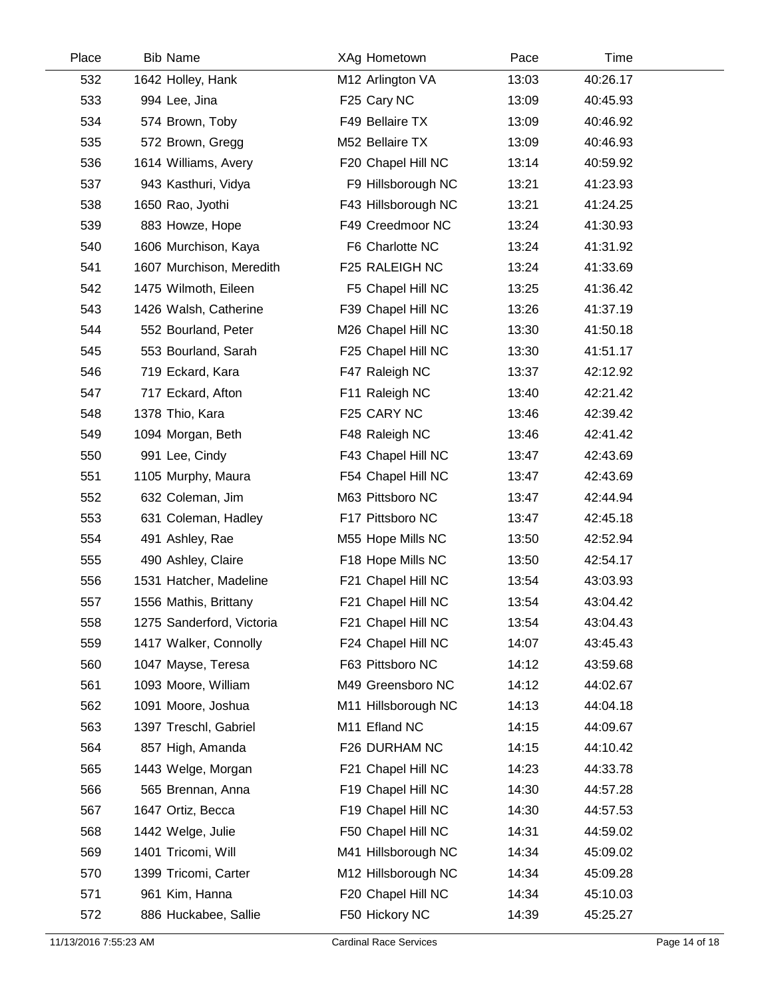| Place | <b>Bib Name</b>           | XAg Hometown        | Pace  | Time     |  |
|-------|---------------------------|---------------------|-------|----------|--|
| 532   | 1642 Holley, Hank         | M12 Arlington VA    | 13:03 | 40:26.17 |  |
| 533   | 994 Lee, Jina             | F25 Cary NC         | 13:09 | 40:45.93 |  |
| 534   | 574 Brown, Toby           | F49 Bellaire TX     | 13:09 | 40:46.92 |  |
| 535   | 572 Brown, Gregg          | M52 Bellaire TX     | 13:09 | 40:46.93 |  |
| 536   | 1614 Williams, Avery      | F20 Chapel Hill NC  | 13:14 | 40:59.92 |  |
| 537   | 943 Kasthuri, Vidya       | F9 Hillsborough NC  | 13:21 | 41:23.93 |  |
| 538   | 1650 Rao, Jyothi          | F43 Hillsborough NC | 13:21 | 41:24.25 |  |
| 539   | 883 Howze, Hope           | F49 Creedmoor NC    | 13:24 | 41:30.93 |  |
| 540   | 1606 Murchison, Kaya      | F6 Charlotte NC     | 13:24 | 41:31.92 |  |
| 541   | 1607 Murchison, Meredith  | F25 RALEIGH NC      | 13:24 | 41:33.69 |  |
| 542   | 1475 Wilmoth, Eileen      | F5 Chapel Hill NC   | 13:25 | 41:36.42 |  |
| 543   | 1426 Walsh, Catherine     | F39 Chapel Hill NC  | 13:26 | 41:37.19 |  |
| 544   | 552 Bourland, Peter       | M26 Chapel Hill NC  | 13:30 | 41:50.18 |  |
| 545   | 553 Bourland, Sarah       | F25 Chapel Hill NC  | 13:30 | 41:51.17 |  |
| 546   | 719 Eckard, Kara          | F47 Raleigh NC      | 13:37 | 42:12.92 |  |
| 547   | 717 Eckard, Afton         | F11 Raleigh NC      | 13:40 | 42:21.42 |  |
| 548   | 1378 Thio, Kara           | F25 CARY NC         | 13:46 | 42:39.42 |  |
| 549   | 1094 Morgan, Beth         | F48 Raleigh NC      | 13:46 | 42:41.42 |  |
| 550   | 991 Lee, Cindy            | F43 Chapel Hill NC  | 13:47 | 42:43.69 |  |
| 551   | 1105 Murphy, Maura        | F54 Chapel Hill NC  | 13:47 | 42:43.69 |  |
| 552   | 632 Coleman, Jim          | M63 Pittsboro NC    | 13:47 | 42:44.94 |  |
| 553   | 631 Coleman, Hadley       | F17 Pittsboro NC    | 13:47 | 42:45.18 |  |
| 554   | 491 Ashley, Rae           | M55 Hope Mills NC   | 13:50 | 42:52.94 |  |
| 555   | 490 Ashley, Claire        | F18 Hope Mills NC   | 13:50 | 42:54.17 |  |
| 556   | 1531 Hatcher, Madeline    | F21 Chapel Hill NC  | 13:54 | 43:03.93 |  |
| 557   | 1556 Mathis, Brittany     | F21 Chapel Hill NC  | 13:54 | 43:04.42 |  |
| 558   | 1275 Sanderford, Victoria | F21 Chapel Hill NC  | 13:54 | 43:04.43 |  |
| 559   | 1417 Walker, Connolly     | F24 Chapel Hill NC  | 14:07 | 43:45.43 |  |
| 560   | 1047 Mayse, Teresa        | F63 Pittsboro NC    | 14:12 | 43:59.68 |  |
| 561   | 1093 Moore, William       | M49 Greensboro NC   | 14:12 | 44:02.67 |  |
| 562   | 1091 Moore, Joshua        | M11 Hillsborough NC | 14:13 | 44:04.18 |  |
| 563   | 1397 Treschl, Gabriel     | M11 Efland NC       | 14:15 | 44:09.67 |  |
| 564   | 857 High, Amanda          | F26 DURHAM NC       | 14:15 | 44:10.42 |  |
| 565   | 1443 Welge, Morgan        | F21 Chapel Hill NC  | 14:23 | 44:33.78 |  |
| 566   | 565 Brennan, Anna         | F19 Chapel Hill NC  | 14:30 | 44:57.28 |  |
| 567   | 1647 Ortiz, Becca         | F19 Chapel Hill NC  | 14:30 | 44:57.53 |  |
| 568   | 1442 Welge, Julie         | F50 Chapel Hill NC  | 14:31 | 44:59.02 |  |
| 569   | 1401 Tricomi, Will        | M41 Hillsborough NC | 14:34 | 45:09.02 |  |
| 570   | 1399 Tricomi, Carter      | M12 Hillsborough NC | 14:34 | 45:09.28 |  |
| 571   | 961 Kim, Hanna            | F20 Chapel Hill NC  | 14:34 | 45:10.03 |  |
| 572   | 886 Huckabee, Sallie      | F50 Hickory NC      | 14:39 | 45:25.27 |  |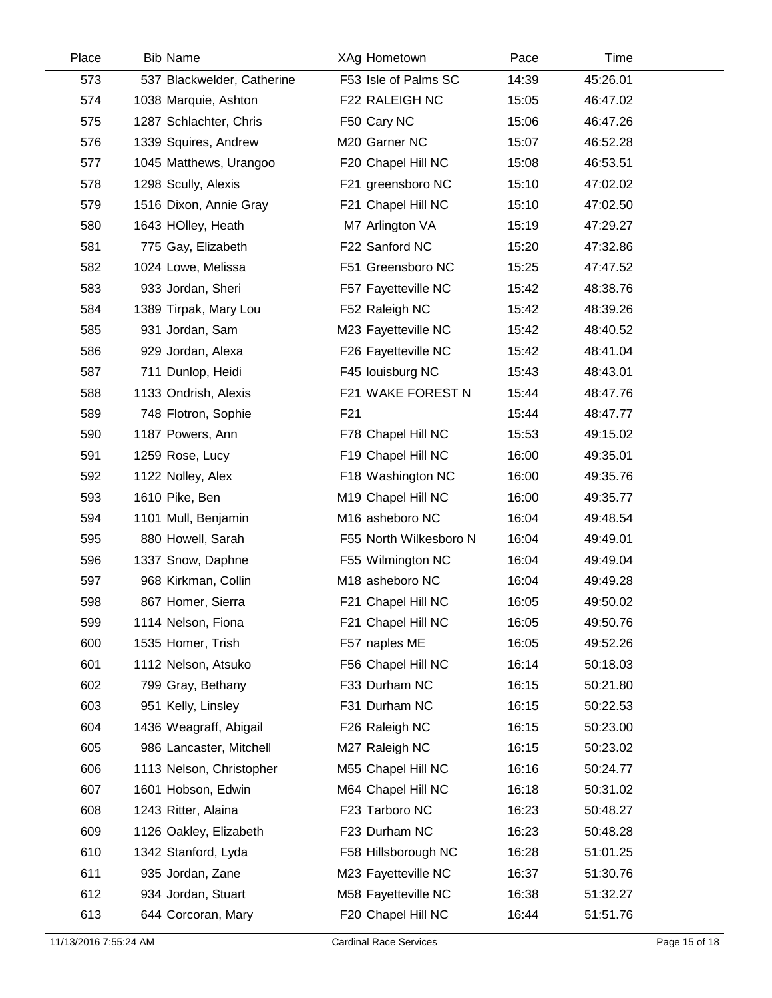| Place | <b>Bib Name</b>            | XAg Hometown           | Pace  | Time     |  |
|-------|----------------------------|------------------------|-------|----------|--|
| 573   | 537 Blackwelder, Catherine | F53 Isle of Palms SC   | 14:39 | 45:26.01 |  |
| 574   | 1038 Marquie, Ashton       | F22 RALEIGH NC         | 15:05 | 46:47.02 |  |
| 575   | 1287 Schlachter, Chris     | F50 Cary NC            | 15:06 | 46:47.26 |  |
| 576   | 1339 Squires, Andrew       | M20 Garner NC          | 15:07 | 46:52.28 |  |
| 577   | 1045 Matthews, Urangoo     | F20 Chapel Hill NC     | 15:08 | 46:53.51 |  |
| 578   | 1298 Scully, Alexis        | F21 greensboro NC      | 15:10 | 47:02.02 |  |
| 579   | 1516 Dixon, Annie Gray     | F21 Chapel Hill NC     | 15:10 | 47:02.50 |  |
| 580   | 1643 HOlley, Heath         | M7 Arlington VA        | 15:19 | 47:29.27 |  |
| 581   | 775 Gay, Elizabeth         | F22 Sanford NC         | 15:20 | 47:32.86 |  |
| 582   | 1024 Lowe, Melissa         | F51 Greensboro NC      | 15:25 | 47:47.52 |  |
| 583   | 933 Jordan, Sheri          | F57 Fayetteville NC    | 15:42 | 48:38.76 |  |
| 584   | 1389 Tirpak, Mary Lou      | F52 Raleigh NC         | 15:42 | 48:39.26 |  |
| 585   | 931 Jordan, Sam            | M23 Fayetteville NC    | 15:42 | 48:40.52 |  |
| 586   | 929 Jordan, Alexa          | F26 Fayetteville NC    | 15:42 | 48:41.04 |  |
| 587   | 711 Dunlop, Heidi          | F45 louisburg NC       | 15:43 | 48:43.01 |  |
| 588   | 1133 Ondrish, Alexis       | F21 WAKE FOREST N      | 15:44 | 48:47.76 |  |
| 589   | 748 Flotron, Sophie        | F <sub>21</sub>        | 15:44 | 48:47.77 |  |
| 590   | 1187 Powers, Ann           | F78 Chapel Hill NC     | 15:53 | 49:15.02 |  |
| 591   | 1259 Rose, Lucy            | F19 Chapel Hill NC     | 16:00 | 49:35.01 |  |
| 592   | 1122 Nolley, Alex          | F18 Washington NC      | 16:00 | 49:35.76 |  |
| 593   | 1610 Pike, Ben             | M19 Chapel Hill NC     | 16:00 | 49:35.77 |  |
| 594   | 1101 Mull, Benjamin        | M16 asheboro NC        | 16:04 | 49:48.54 |  |
| 595   | 880 Howell, Sarah          | F55 North Wilkesboro N | 16:04 | 49:49.01 |  |
| 596   | 1337 Snow, Daphne          | F55 Wilmington NC      | 16:04 | 49:49.04 |  |
| 597   | 968 Kirkman, Collin        | M18 asheboro NC        | 16:04 | 49:49.28 |  |
| 598   | 867 Homer, Sierra          | F21 Chapel Hill NC     | 16:05 | 49:50.02 |  |
| 599   | 1114 Nelson, Fiona         | F21 Chapel Hill NC     | 16:05 | 49:50.76 |  |
| 600   | 1535 Homer, Trish          | F57 naples ME          | 16:05 | 49:52.26 |  |
| 601   | 1112 Nelson, Atsuko        | F56 Chapel Hill NC     | 16:14 | 50:18.03 |  |
| 602   | 799 Gray, Bethany          | F33 Durham NC          | 16:15 | 50:21.80 |  |
| 603   | 951 Kelly, Linsley         | F31 Durham NC          | 16:15 | 50:22.53 |  |
| 604   | 1436 Weagraff, Abigail     | F26 Raleigh NC         | 16:15 | 50:23.00 |  |
| 605   | 986 Lancaster, Mitchell    | M27 Raleigh NC         | 16:15 | 50:23.02 |  |
| 606   | 1113 Nelson, Christopher   | M55 Chapel Hill NC     | 16:16 | 50:24.77 |  |
| 607   | 1601 Hobson, Edwin         | M64 Chapel Hill NC     | 16:18 | 50:31.02 |  |
| 608   | 1243 Ritter, Alaina        | F23 Tarboro NC         | 16:23 | 50:48.27 |  |
| 609   | 1126 Oakley, Elizabeth     | F23 Durham NC          | 16:23 | 50:48.28 |  |
| 610   | 1342 Stanford, Lyda        | F58 Hillsborough NC    | 16:28 | 51:01.25 |  |
| 611   | 935 Jordan, Zane           | M23 Fayetteville NC    | 16:37 | 51:30.76 |  |
| 612   | 934 Jordan, Stuart         | M58 Fayetteville NC    | 16:38 | 51:32.27 |  |
| 613   | 644 Corcoran, Mary         | F20 Chapel Hill NC     | 16:44 | 51:51.76 |  |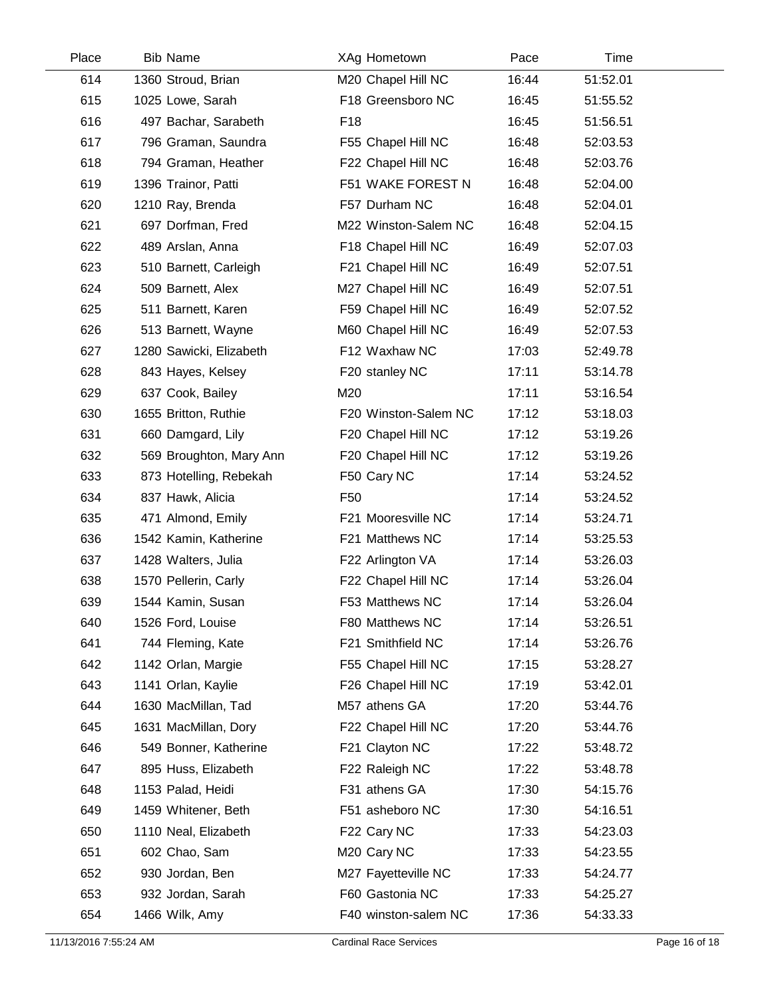| Place | <b>Bib Name</b>         | XAg Hometown         | Pace  | Time     |  |
|-------|-------------------------|----------------------|-------|----------|--|
| 614   | 1360 Stroud, Brian      | M20 Chapel Hill NC   | 16:44 | 51:52.01 |  |
| 615   | 1025 Lowe, Sarah        | F18 Greensboro NC    | 16:45 | 51:55.52 |  |
| 616   | 497 Bachar, Sarabeth    | F <sub>18</sub>      | 16:45 | 51:56.51 |  |
| 617   | 796 Graman, Saundra     | F55 Chapel Hill NC   | 16:48 | 52:03.53 |  |
| 618   | 794 Graman, Heather     | F22 Chapel Hill NC   | 16:48 | 52:03.76 |  |
| 619   | 1396 Trainor, Patti     | F51 WAKE FOREST N    | 16:48 | 52:04.00 |  |
| 620   | 1210 Ray, Brenda        | F57 Durham NC        | 16:48 | 52:04.01 |  |
| 621   | 697 Dorfman, Fred       | M22 Winston-Salem NC | 16:48 | 52:04.15 |  |
| 622   | 489 Arslan, Anna        | F18 Chapel Hill NC   | 16:49 | 52:07.03 |  |
| 623   | 510 Barnett, Carleigh   | F21 Chapel Hill NC   | 16:49 | 52:07.51 |  |
| 624   | 509 Barnett, Alex       | M27 Chapel Hill NC   | 16:49 | 52:07.51 |  |
| 625   | 511 Barnett, Karen      | F59 Chapel Hill NC   | 16:49 | 52:07.52 |  |
| 626   | 513 Barnett, Wayne      | M60 Chapel Hill NC   | 16:49 | 52:07.53 |  |
| 627   | 1280 Sawicki, Elizabeth | F12 Waxhaw NC        | 17:03 | 52:49.78 |  |
| 628   | 843 Hayes, Kelsey       | F20 stanley NC       | 17:11 | 53:14.78 |  |
| 629   | 637 Cook, Bailey        | M20                  | 17:11 | 53:16.54 |  |
| 630   | 1655 Britton, Ruthie    | F20 Winston-Salem NC | 17:12 | 53:18.03 |  |
| 631   | 660 Damgard, Lily       | F20 Chapel Hill NC   | 17:12 | 53:19.26 |  |
| 632   | 569 Broughton, Mary Ann | F20 Chapel Hill NC   | 17:12 | 53:19.26 |  |
| 633   | 873 Hotelling, Rebekah  | F50 Cary NC          | 17:14 | 53:24.52 |  |
| 634   | 837 Hawk, Alicia        | F <sub>50</sub>      | 17:14 | 53:24.52 |  |
| 635   | 471 Almond, Emily       | F21 Mooresville NC   | 17:14 | 53:24.71 |  |
| 636   | 1542 Kamin, Katherine   | F21 Matthews NC      | 17:14 | 53:25.53 |  |
| 637   | 1428 Walters, Julia     | F22 Arlington VA     | 17:14 | 53:26.03 |  |
| 638   | 1570 Pellerin, Carly    | F22 Chapel Hill NC   | 17:14 | 53:26.04 |  |
| 639   | 1544 Kamin, Susan       | F53 Matthews NC      | 17:14 | 53:26.04 |  |
| 640   | 1526 Ford, Louise       | F80 Matthews NC      | 17:14 | 53:26.51 |  |
| 641   | 744 Fleming, Kate       | F21 Smithfield NC    | 17:14 | 53:26.76 |  |
| 642   | 1142 Orlan, Margie      | F55 Chapel Hill NC   | 17:15 | 53:28.27 |  |
| 643   | 1141 Orlan, Kaylie      | F26 Chapel Hill NC   | 17:19 | 53:42.01 |  |
| 644   | 1630 MacMillan, Tad     | M57 athens GA        | 17:20 | 53:44.76 |  |
| 645   | 1631 MacMillan, Dory    | F22 Chapel Hill NC   | 17:20 | 53:44.76 |  |
| 646   | 549 Bonner, Katherine   | F21 Clayton NC       | 17:22 | 53:48.72 |  |
| 647   | 895 Huss, Elizabeth     | F22 Raleigh NC       | 17:22 | 53:48.78 |  |
| 648   | 1153 Palad, Heidi       | F31 athens GA        | 17:30 | 54:15.76 |  |
| 649   | 1459 Whitener, Beth     | F51 asheboro NC      | 17:30 | 54:16.51 |  |
| 650   | 1110 Neal, Elizabeth    | F22 Cary NC          | 17:33 | 54:23.03 |  |
| 651   | 602 Chao, Sam           | M20 Cary NC          | 17:33 | 54:23.55 |  |
| 652   | 930 Jordan, Ben         | M27 Fayetteville NC  | 17:33 | 54:24.77 |  |
| 653   | 932 Jordan, Sarah       | F60 Gastonia NC      | 17:33 | 54:25.27 |  |
| 654   | 1466 Wilk, Amy          | F40 winston-salem NC | 17:36 | 54:33.33 |  |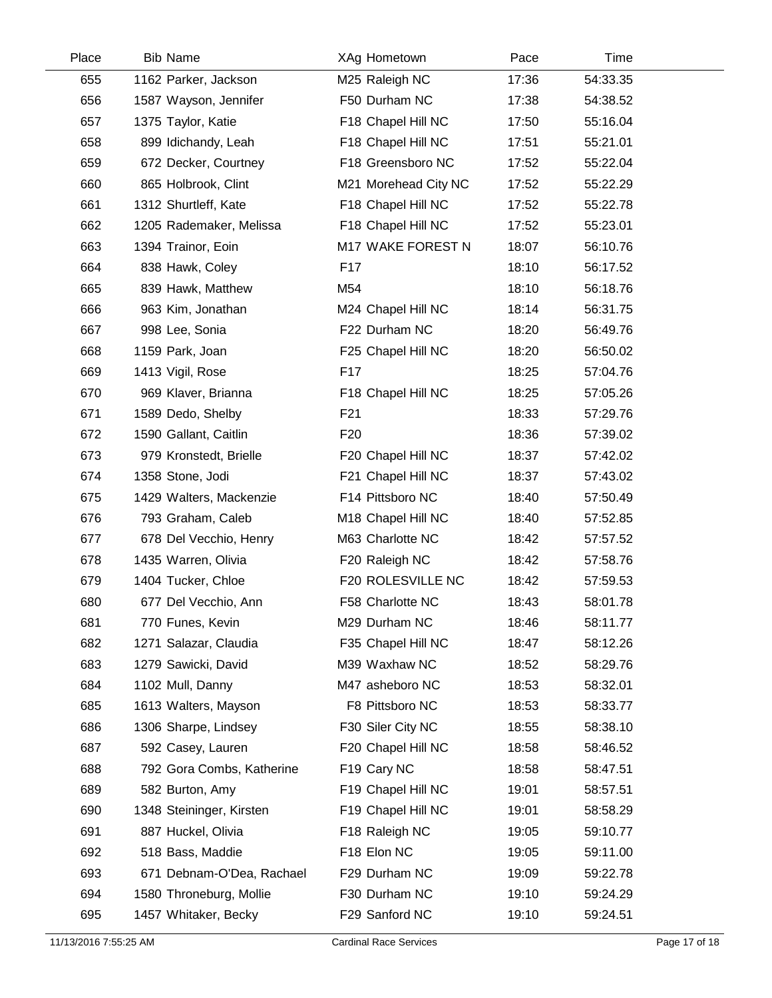| Place | <b>Bib Name</b>           | XAg Hometown         | Pace  | Time     |  |
|-------|---------------------------|----------------------|-------|----------|--|
| 655   | 1162 Parker, Jackson      | M25 Raleigh NC       | 17:36 | 54:33.35 |  |
| 656   | 1587 Wayson, Jennifer     | F50 Durham NC        | 17:38 | 54:38.52 |  |
| 657   | 1375 Taylor, Katie        | F18 Chapel Hill NC   | 17:50 | 55:16.04 |  |
| 658   | 899 Idichandy, Leah       | F18 Chapel Hill NC   | 17:51 | 55:21.01 |  |
| 659   | 672 Decker, Courtney      | F18 Greensboro NC    | 17:52 | 55:22.04 |  |
| 660   | 865 Holbrook, Clint       | M21 Morehead City NC | 17:52 | 55:22.29 |  |
| 661   | 1312 Shurtleff, Kate      | F18 Chapel Hill NC   | 17:52 | 55:22.78 |  |
| 662   | 1205 Rademaker, Melissa   | F18 Chapel Hill NC   | 17:52 | 55:23.01 |  |
| 663   | 1394 Trainor, Eoin        | M17 WAKE FOREST N    | 18:07 | 56:10.76 |  |
| 664   | 838 Hawk, Coley           | F <sub>17</sub>      | 18:10 | 56:17.52 |  |
| 665   | 839 Hawk, Matthew         | M54                  | 18:10 | 56:18.76 |  |
| 666   | 963 Kim, Jonathan         | M24 Chapel Hill NC   | 18:14 | 56:31.75 |  |
| 667   | 998 Lee, Sonia            | F22 Durham NC        | 18:20 | 56:49.76 |  |
| 668   | 1159 Park, Joan           | F25 Chapel Hill NC   | 18:20 | 56:50.02 |  |
| 669   | 1413 Vigil, Rose          | F17                  | 18:25 | 57:04.76 |  |
| 670   | 969 Klaver, Brianna       | F18 Chapel Hill NC   | 18:25 | 57:05.26 |  |
| 671   | 1589 Dedo, Shelby         | F <sub>21</sub>      | 18:33 | 57:29.76 |  |
| 672   | 1590 Gallant, Caitlin     | F <sub>20</sub>      | 18:36 | 57:39.02 |  |
| 673   | 979 Kronstedt, Brielle    | F20 Chapel Hill NC   | 18:37 | 57:42.02 |  |
| 674   | 1358 Stone, Jodi          | F21 Chapel Hill NC   | 18:37 | 57:43.02 |  |
| 675   | 1429 Walters, Mackenzie   | F14 Pittsboro NC     | 18:40 | 57:50.49 |  |
| 676   | 793 Graham, Caleb         | M18 Chapel Hill NC   | 18:40 | 57:52.85 |  |
| 677   | 678 Del Vecchio, Henry    | M63 Charlotte NC     | 18:42 | 57:57.52 |  |
| 678   | 1435 Warren, Olivia       | F20 Raleigh NC       | 18:42 | 57:58.76 |  |
| 679   | 1404 Tucker, Chloe        | F20 ROLESVILLE NC    | 18:42 | 57:59.53 |  |
| 680   | 677 Del Vecchio, Ann      | F58 Charlotte NC     | 18:43 | 58:01.78 |  |
| 681   | 770 Funes, Kevin          | M29 Durham NC        | 18:46 | 58:11.77 |  |
| 682   | 1271 Salazar, Claudia     | F35 Chapel Hill NC   | 18:47 | 58:12.26 |  |
| 683   | 1279 Sawicki, David       | M39 Waxhaw NC        | 18:52 | 58:29.76 |  |
| 684   | 1102 Mull, Danny          | M47 asheboro NC      | 18:53 | 58:32.01 |  |
| 685   | 1613 Walters, Mayson      | F8 Pittsboro NC      | 18:53 | 58:33.77 |  |
| 686   | 1306 Sharpe, Lindsey      | F30 Siler City NC    | 18:55 | 58:38.10 |  |
| 687   | 592 Casey, Lauren         | F20 Chapel Hill NC   | 18:58 | 58:46.52 |  |
| 688   | 792 Gora Combs, Katherine | F19 Cary NC          | 18:58 | 58:47.51 |  |
| 689   | 582 Burton, Amy           | F19 Chapel Hill NC   | 19:01 | 58:57.51 |  |
| 690   | 1348 Steininger, Kirsten  | F19 Chapel Hill NC   | 19:01 | 58:58.29 |  |
| 691   | 887 Huckel, Olivia        | F18 Raleigh NC       | 19:05 | 59:10.77 |  |
| 692   | 518 Bass, Maddie          | F18 Elon NC          | 19:05 | 59:11.00 |  |
| 693   | 671 Debnam-O'Dea, Rachael | F29 Durham NC        | 19:09 | 59:22.78 |  |
| 694   | 1580 Throneburg, Mollie   | F30 Durham NC        | 19:10 | 59:24.29 |  |
| 695   | 1457 Whitaker, Becky      | F29 Sanford NC       | 19:10 | 59:24.51 |  |